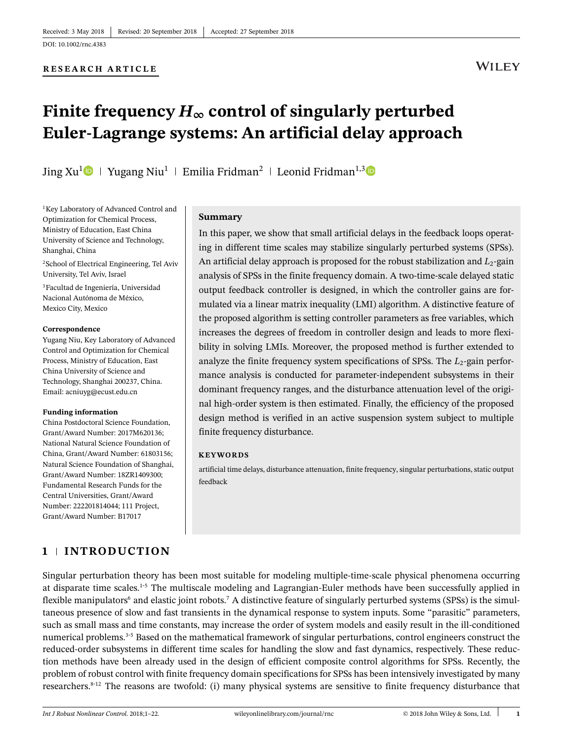### **RESEARCH ARTICLE**

# **WILEY**

# Finite frequency  $H_{\infty}$  control of singularly perturbed **Euler-Lagrange systems: An artificial delay approach**

Jing Xu<sup>[1](https://orcid.org/0000-0002-0647-9767)</sup> | Yugang Niu<sup>1</sup> | Emilia Fridman<sup>2</sup> | Leonid Fridman<sup>1,[3](https://orcid.org/0000-0003-0208-3615)</sup>

1Key Laboratory of Advanced Control and Optimization for Chemical Process, Ministry of Education, East China University of Science and Technology, Shanghai, China

2School of Electrical Engineering, Tel Aviv University, Tel Aviv, Israel

3Facultad de Ingeniería, Universidad Nacional Autónoma de México, Mexico City, Mexico

#### **Correspondence**

Yugang Niu, Key Laboratory of Advanced Control and Optimization for Chemical Process, Ministry of Education, East China University of Science and Technology, Shanghai 200237, China. Email: acniuyg@ecust.edu.cn

#### **Funding information**

China Postdoctoral Science Foundation, Grant/Award Number: 2017M620136; National Natural Science Foundation of China, Grant/Award Number: 61803156; Natural Science Foundation of Shanghai, Grant/Award Number: 18ZR1409300; Fundamental Research Funds for the Central Universities, Grant/Award Number: 222201814044; 111 Project, Grant/Award Number: B17017

#### **Summary**

In this paper, we show that small artificial delays in the feedback loops operating in different time scales may stabilize singularly perturbed systems (SPSs). An artificial delay approach is proposed for the robust stabilization and  $L_2$ -gain analysis of SPSs in the finite frequency domain. A two-time-scale delayed static output feedback controller is designed, in which the controller gains are formulated via a linear matrix inequality (LMI) algorithm. A distinctive feature of the proposed algorithm is setting controller parameters as free variables, which increases the degrees of freedom in controller design and leads to more flexibility in solving LMIs. Moreover, the proposed method is further extended to analyze the finite frequency system specifications of SPSs. The  $L_2$ -gain performance analysis is conducted for parameter-independent subsystems in their dominant frequency ranges, and the disturbance attenuation level of the original high-order system is then estimated. Finally, the efficiency of the proposed design method is verified in an active suspension system subject to multiple finite frequency disturbance.

#### **KEYWORDS**

artificial time delays, disturbance attenuation, finite frequency, singular perturbations, static output feedback

## **1 INTRODUCTION**

Singular perturbation theory has been most suitable for modeling multiple-time-scale physical phenomena occurring at disparate time scales[.1-](#page-20-0)[5](#page-20-1) The multiscale modeling and Lagrangian-Euler methods have been successfully applied in flexible manipulators<sup>6</sup> and elastic joint robots.<sup>7</sup> A distinctive feature of singularly perturbed systems (SPSs) is the simultaneous presence of slow and fast transients in the dynamical response to system inputs. Some "parasitic" parameters, such as small mass and time constants, may increase the order of system models and easily result in the ill-conditioned numerical problems[.3](#page-20-4)[-5](#page-20-1) Based on the mathematical framework of singular perturbations, control engineers construct the reduced-order subsystems in different time scales for handling the slow and fast dynamics, respectively. These reduction methods have been already used in the design of efficient composite control algorithms for SPSs. Recently, the problem of robust control with finite frequency domain specifications for SPSs has been intensively investigated by many researchers. $8-12$  $8-12$  The reasons are twofold: (i) many physical systems are sensitive to finite frequency disturbance that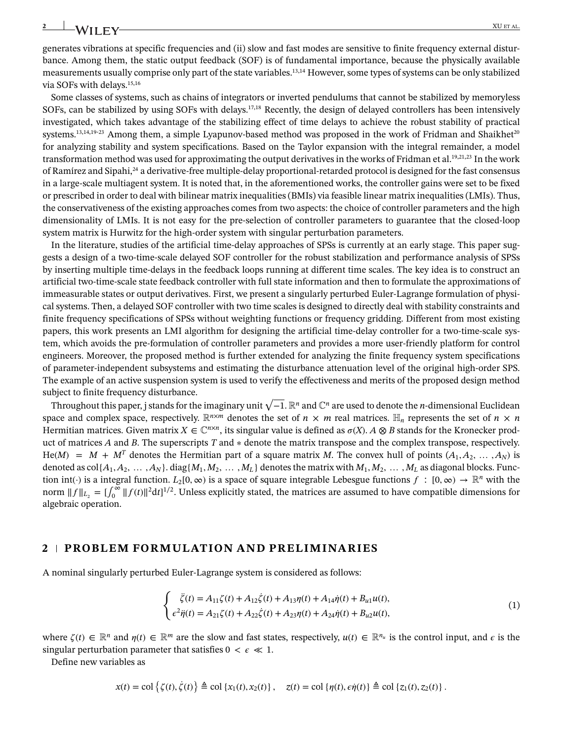generates vibrations at specific frequencies and (ii) slow and fast modes are sensitive to finite frequency external disturbance. Among them, the static output feedback (SOF) is of fundamental importance, because the physically available measurements usually comprise only part of the state variables[.13](#page-20-7)[,14](#page-20-8) However, some types of systems can be only stabilized via SOFs with delays.<sup>15[,16](#page-20-10)</sup>

Some classes of systems, such as chains of integrators or inverted pendulums that cannot be stabilized by memoryless SOFs, can be stabilized by using SOFs with delays[.17](#page-20-11)[,18](#page-20-12) Recently, the design of delayed controllers has been intensively investigated, which takes advantage of the stabilizing effect of time delays to achieve the robust stability of practical systems.<sup>13[,14](#page-20-8)[,19-](#page-20-13)[23](#page-20-14)</sup> Among them, a simple Lyapunov-based method was proposed in the work of Fridman and Shaikhet<sup>20</sup> for analyzing stability and system specifications. Based on the Taylor expansion with the integral remainder, a model transformation method was used for approximating the output derivatives in the works of Fridman et al[.19,](#page-20-13)[21,](#page-20-16)[23](#page-20-14) In the work of Ramírez and Sipahi[,24](#page-21-1) a derivative-free multiple-delay proportional-retarded protocol is designed for the fast consensus in a large-scale multiagent system. It is noted that, in the aforementioned works, the controller gains were set to be fixed or prescribed in order to deal with bilinear matrix inequalities (BMIs) via feasible linear matrix inequalities (LMIs). Thus, the conservativeness of the existing approaches comes from two aspects: the choice of controller parameters and the high dimensionality of LMIs. It is not easy for the pre-selection of controller parameters to guarantee that the closed-loop system matrix is Hurwitz for the high-order system with singular perturbation parameters.

In the literature, studies of the artificial time-delay approaches of SPSs is currently at an early stage. This paper suggests a design of a two-time-scale delayed SOF controller for the robust stabilization and performance analysis of SPSs by inserting multiple time-delays in the feedback loops running at different time scales. The key idea is to construct an artificial two-time-scale state feedback controller with full state information and then to formulate the approximations of immeasurable states or output derivatives. First, we present a singularly perturbed Euler-Lagrange formulation of physical systems. Then, a delayed SOF controller with two time scales is designed to directly deal with stability constraints and finite frequency specifications of SPSs without weighting functions or frequency gridding. Different from most existing papers, this work presents an LMI algorithm for designing the artificial time-delay controller for a two-time-scale system, which avoids the pre-formulation of controller parameters and provides a more user-friendly platform for control engineers. Moreover, the proposed method is further extended for analyzing the finite frequency system specifications of parameter-independent subsystems and estimating the disturbance attenuation level of the original high-order SPS. The example of an active suspension system is used to verify the effectiveness and merits of the proposed design method subject to finite frequency disturbance.

Throughout this paper, j stands for the imaginary unit <sup>√</sup> −1. R*<sup>n</sup>* and C*<sup>n</sup>* are used to denote the *n*-dimensional Euclidean space and complex space, respectively.  $\mathbb{R}^{n \times m}$  denotes the set of  $n \times m$  real matrices.  $\mathbb{H}_n$  represents the set of  $n \times n$ Hermitian matrices. Given matrix  $X \in \mathbb{C}^{n \times n}$ , its singular value is defined as  $\sigma(X)$ .  $A \otimes B$  stands for the Kronecker product of matrices *A* and *B*. The superscripts *T* and ∗ denote the matrix transpose and the complex transpose, respectively. He(*M*) =  $M + M^T$  denotes the Hermitian part of a square matrix *M*. The convex hull of points  $(A_1, A_2, \ldots, A_N)$  is denoted as  $col\{A_1, A_2, \ldots, A_N\}$ . diag $\{M_1, M_2, \ldots, M_L\}$  denotes the matrix with  $M_1, M_2, \ldots, M_L$  as diagonal blocks. Function int(·) is a integral function.  $L_2[0,\infty)$  is a space of square integrable Lebesgue functions  $f : [0,\infty) \to \mathbb{R}^n$  with the norm  $|| f ||_{L_2} = [\int_0^\infty ||f(t)||^2 dt]^{1/2}$ . Unless explicitly stated, the matrices are assumed to have compatible dimensions for algebraic operation.

#### **2 PROBLEM FORMULATION AND PRELIMINARIES**

A nominal singularly perturbed Euler-Lagrange system is considered as follows:

<span id="page-1-0"></span>
$$
\begin{cases}\n\ddot{\zeta}(t) = A_{11}\zeta(t) + A_{12}\dot{\zeta}(t) + A_{13}\eta(t) + A_{14}\dot{\eta}(t) + B_{u1}u(t), \\
\epsilon^2 \ddot{\eta}(t) = A_{21}\zeta(t) + A_{22}\dot{\zeta}(t) + A_{23}\eta(t) + A_{24}\dot{\eta}(t) + B_{u2}u(t),\n\end{cases}
$$
\n(1)

where  $\zeta(t) \in \mathbb{R}^n$  and  $\eta(t) \in \mathbb{R}^m$  are the slow and fast states, respectively,  $u(t) \in \mathbb{R}^{n_u}$  is the control input, and  $\epsilon$  is the singular perturbation parameter that satisfies  $0 < \epsilon \ll 1$ .

Define new variables as

$$
x(t) = \text{col}\left\{\zeta(t), \dot{\zeta}(t)\right\} \triangleq \text{col}\left\{x_1(t), x_2(t)\right\}, \quad z(t) = \text{col}\left\{\eta(t), \varepsilon\dot{\eta}(t)\right\} \triangleq \text{col}\left\{z_1(t), z_2(t)\right\}.
$$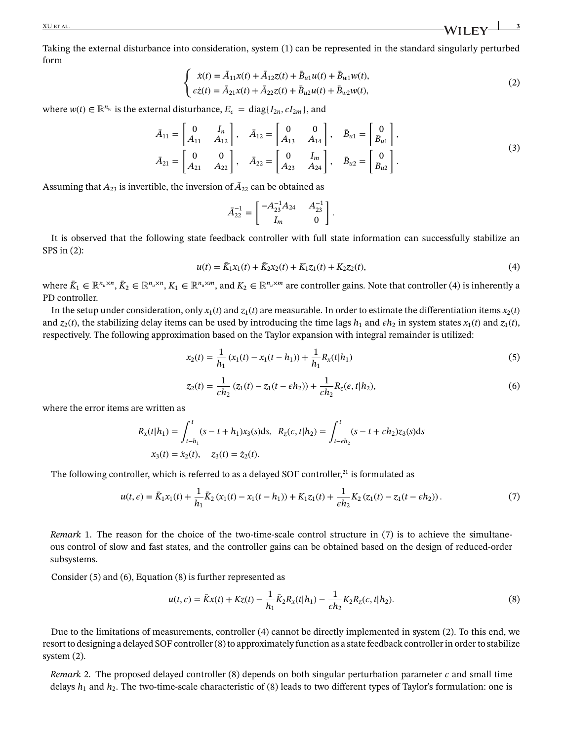<span id="page-2-0"></span>Taking the external disturbance into consideration, system [\(1\)](#page-1-0) can be represented in the standard singularly perturbed form  $\overline{a}$ 

$$
\begin{cases}\n\dot{x}(t) = \bar{A}_{11}x(t) + \bar{A}_{12}z(t) + \bar{B}_{u1}u(t) + \bar{B}_{w1}w(t), \\
e\dot{z}(t) = \bar{A}_{21}x(t) + \bar{A}_{22}z(t) + \bar{B}_{u2}u(t) + \bar{B}_{w2}w(t),\n\end{cases}
$$
\n(2)

where  $w(t) \in \mathbb{R}^{n_w}$  is the external disturbance,  $E_{\epsilon} = \text{diag}\{I_{2n}, \epsilon I_{2m}\}\$ , and

$$
\bar{A}_{11} = \begin{bmatrix} 0 & I_n \\ A_{11} & A_{12} \end{bmatrix}, \quad \bar{A}_{12} = \begin{bmatrix} 0 & 0 \\ A_{13} & A_{14} \end{bmatrix}, \quad \bar{B}_{u1} = \begin{bmatrix} 0 \\ B_{u1} \end{bmatrix},
$$
  
\n
$$
\bar{A}_{21} = \begin{bmatrix} 0 & 0 \\ A_{21} & A_{22} \end{bmatrix}, \quad \bar{A}_{22} = \begin{bmatrix} 0 & I_m \\ A_{23} & A_{24} \end{bmatrix}, \quad \bar{B}_{u2} = \begin{bmatrix} 0 \\ B_{u2} \end{bmatrix}.
$$
\n(3)

<span id="page-2-4"></span>*.*

Assuming that  $A_{23}$  is invertible, the inversion of  $\bar{A}_{22}$  can be obtained as

$$
\bar{A}_{22}^{-1} = \begin{bmatrix} -A_{23}^{-1}A_{24} & A_{23}^{-1} \\ I_m & 0 \end{bmatrix}
$$

<span id="page-2-1"></span>It is observed that the following state feedback controller with full state information can successfully stabilize an SPS in [\(2\)](#page-2-0):

$$
u(t) = \bar{K}_1 x_1(t) + \bar{K}_2 x_2(t) + K_1 z_1(t) + K_2 z_2(t),
$$
\n(4)

where  $\bar{K}_1 \in \mathbb{R}^{n_u \times n}$ ,  $\bar{K}_2 \in \mathbb{R}^{n_u \times n}$ ,  $K_1 \in \mathbb{R}^{n_u \times m}$ , and  $K_2 \in \mathbb{R}^{n_u \times m}$  are controller gains. Note that controller [\(4\)](#page-2-1) is inherently a PD controller.

In the setup under consideration, only  $x_1(t)$  and  $z_1(t)$  are measurable. In order to estimate the differentiation items  $x_2(t)$ and  $z_2(t)$ , the stabilizing delay items can be used by introducing the time lags  $h_1$  and  $\epsilon h_2$  in system states  $x_1(t)$  and  $z_1(t)$ , respectively. The following approximation based on the Taylor expansion with integral remainder is utilized:

$$
x_2(t) = \frac{1}{h_1} (x_1(t) - x_1(t - h_1)) + \frac{1}{h_1} R_x(t|h_1)
$$
\n(5)

<span id="page-2-3"></span>
$$
z_2(t) = \frac{1}{\epsilon h_2} (z_1(t) - z_1(t - \epsilon h_2)) + \frac{1}{\epsilon h_2} R_z(\epsilon, t | h_2),
$$
\n(6)

<span id="page-2-5"></span>where the error items are written as

$$
R_x(t|h_1) = \int_{t-h_1}^t (s - t + h_1)x_3(s)ds, \quad R_z(\epsilon, t|h_2) = \int_{t-\epsilon h_2}^t (s - t + \epsilon h_2)z_3(s)ds
$$
  

$$
x_3(t) = \dot{x}_2(t), \quad z_3(t) = \dot{z}_2(t).
$$

The following controller, which is referred to as a delayed SOF controller, $^{21}$  is formulated as

$$
u(t,\epsilon) = \bar{K}_1 x_1(t) + \frac{1}{h_1} \bar{K}_2 (x_1(t) - x_1(t - h_1)) + K_1 z_1(t) + \frac{1}{\epsilon h_2} K_2 (z_1(t) - z_1(t - \epsilon h_2)).
$$
\n(7)

<span id="page-2-2"></span>*Remark* [1.](#page-2-2) The reason for the choice of the two-time-scale control structure in [\(7\)](#page-2-3) is to achieve the simultaneous control of slow and fast states, and the controller gains can be obtained based on the design of reduced-order subsystems.

Consider [\(5\)](#page-2-4) and [\(6\)](#page-2-5), Equation [\(8\)](#page-2-6) is further represented as

<span id="page-2-6"></span>
$$
u(t,\epsilon) = \bar{K}x(t) + Kz(t) - \frac{1}{h_1}\bar{K}_2R_x(t|h_1) - \frac{1}{\epsilon h_2}K_2R_z(\epsilon, t|h_2).
$$
\n(8)

Due to the limitations of measurements, controller [\(4\)](#page-2-1) cannot be directly implemented in system [\(2\)](#page-2-0). To this end, we resort to designing a delayed SOF controller [\(8\)](#page-2-6) to approximately function as a state feedback controller in order to stabilize system [\(2\)](#page-2-0).

<span id="page-2-7"></span>*Remark* [2.](#page-2-7) The proposed delayed controller [\(8\)](#page-2-6) depends on both singular perturbation parameter  $\epsilon$  and small time delays  $h_1$  and  $h_2$ . The two-time-scale characteristic of [\(8\)](#page-2-6) leads to two different types of Taylor's formulation: one is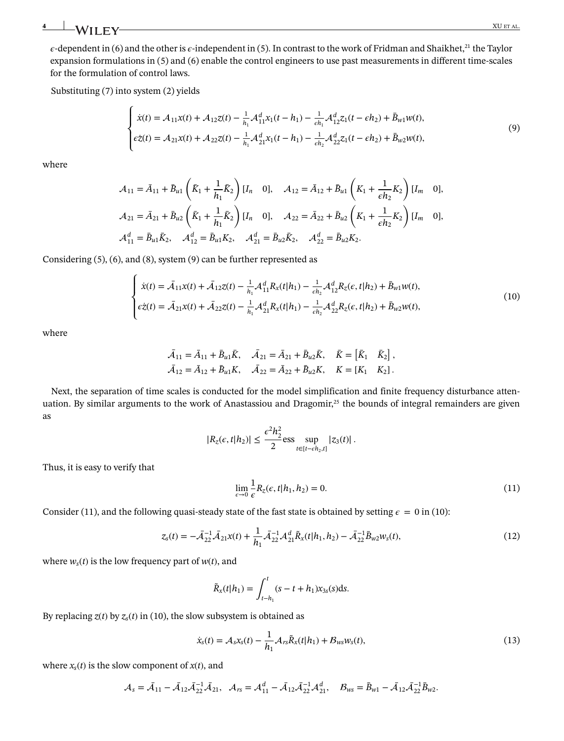$\epsilon$ -dependent in [\(6\)](#page-2-5) and the other is  $\epsilon$ -independent in [\(5\)](#page-2-4). In contrast to the work of Fridman and Shaikhet,<sup>21</sup> the Taylor expansion formulations in [\(5\)](#page-2-4) and [\(6\)](#page-2-5) enable the control engineers to use past measurements in different time-scales for the formulation of control laws.

Substituting [\(7\)](#page-2-3) into system [\(2\)](#page-2-0) yields

<span id="page-3-0"></span>
$$
\begin{cases}\n\dot{x}(t) = \mathcal{A}_{11}x(t) + \mathcal{A}_{12}z(t) - \frac{1}{h_1}\mathcal{A}_{11}^d x_1(t - h_1) - \frac{1}{\epsilon h_1}\mathcal{A}_{12}^d z_1(t - \epsilon h_2) + \bar{B}_{w1}w(t), \\
\epsilon \dot{z}(t) = \mathcal{A}_{21}x(t) + \mathcal{A}_{22}z(t) - \frac{1}{h_1}\mathcal{A}_{21}^d x_1(t - h_1) - \frac{1}{\epsilon h_2}\mathcal{A}_{22}^d z_1(t - \epsilon h_2) + \bar{B}_{w2}w(t),\n\end{cases}
$$
\n(9)

where

$$
\mathcal{A}_{11} = \bar{A}_{11} + \bar{B}_{u1} \left( \bar{K}_1 + \frac{1}{h_1} \bar{K}_2 \right) [I_n \quad 0], \quad \mathcal{A}_{12} = \bar{A}_{12} + \bar{B}_{u1} \left( K_1 + \frac{1}{\epsilon h_2} K_2 \right) [I_m \quad 0],
$$
  

$$
\mathcal{A}_{21} = \bar{A}_{21} + \bar{B}_{u2} \left( \bar{K}_1 + \frac{1}{h_1} \bar{K}_2 \right) [I_n \quad 0], \quad \mathcal{A}_{22} = \bar{A}_{22} + \bar{B}_{u2} \left( K_1 + \frac{1}{\epsilon h_2} K_2 \right) [I_m \quad 0],
$$
  

$$
\mathcal{A}_{11}^d = \bar{B}_{u1} \bar{K}_2, \quad \mathcal{A}_{12}^d = \bar{B}_{u1} K_2, \quad \mathcal{A}_{21}^d = \bar{B}_{u2} \bar{K}_2, \quad \mathcal{A}_{22}^d = \bar{B}_{u2} K_2.
$$

Considering [\(5\)](#page-2-4), [\(6\)](#page-2-5), and [\(8\)](#page-2-6), system [\(9\)](#page-3-0) can be further represented as

$$
\begin{cases}\n\dot{x}(t) = \bar{\mathcal{A}}_{11}x(t) + \bar{\mathcal{A}}_{12}z(t) - \frac{1}{h_1}\mathcal{A}_{11}^d R_x(t|h_1) - \frac{1}{\epsilon h_2}\mathcal{A}_{12}^d R_z(\epsilon, t|h_2) + \bar{B}_{w1}w(t), \\
\epsilon \dot{z}(t) = \bar{\mathcal{A}}_{21}x(t) + \bar{\mathcal{A}}_{22}z(t) - \frac{1}{h_1}\mathcal{A}_{21}^d R_x(t|h_1) - \frac{1}{\epsilon h_2}\mathcal{A}_{22}^d R_z(\epsilon, t|h_2) + \bar{B}_{w2}w(t),\n\end{cases}
$$
\n(10)

where

<span id="page-3-2"></span>
$$
\bar{A}_{11} = \bar{A}_{11} + \bar{B}_{u1}\bar{K}, \quad \bar{A}_{21} = \bar{A}_{21} + \bar{B}_{u2}\bar{K}, \quad \bar{K} = \begin{bmatrix} \bar{K}_1 & \bar{K}_2 \end{bmatrix},
$$
  

$$
\bar{A}_{12} = \bar{A}_{12} + \bar{B}_{u1}K, \quad \bar{A}_{22} = \bar{A}_{22} + \bar{B}_{u2}K, \quad K = \begin{bmatrix} K_1 & K_2 \end{bmatrix}.
$$

Next, the separation of time scales is conducted for the model simplification and finite frequency disturbance attenuation. By similar arguments to the work of Anastassiou and Dragomir, $^{25}$  the bounds of integral remainders are given as

<span id="page-3-1"></span>
$$
|R_{z}(\epsilon, t|h_2)| \leq \frac{\epsilon^2 h_2^2}{2} \text{ess} \sup_{t \in [t - \epsilon h_2, t]} |z_3(t)|.
$$

Thus, it is easy to verify that

$$
\lim_{\epsilon \to 0} \frac{1}{\epsilon} R_z(\epsilon, t | h_1, h_2) = 0. \tag{11}
$$

Consider [\(11\)](#page-3-1), and the following quasi-steady state of the fast state is obtained by setting  $\epsilon = 0$  in [\(10\)](#page-3-2):

$$
z_{s}(t) = -\bar{\mathcal{A}}_{22}^{-1}\bar{\mathcal{A}}_{21}x(t) + \frac{1}{h_{1}}\bar{\mathcal{A}}_{22}^{-1}\mathcal{A}_{21}^{d}\tilde{R}_{x}(t|h_{1},h_{2}) - \bar{\mathcal{A}}_{22}^{-1}\bar{B}_{w2}w_{s}(t),
$$
\n(12)

where  $w_s(t)$  is the low frequency part of  $w(t)$ , and

<span id="page-3-3"></span>
$$
\tilde{R}_x(t|h_1) = \int_{t-h_1}^t (s-t+h_1)x_{3s}(s)ds.
$$

By replacing  $z(t)$  by  $z_s(t)$  in [\(10\)](#page-3-2), the slow subsystem is obtained as

$$
\dot{x}_{s}(t) = A_{s}x_{s}(t) - \frac{1}{h_{1}}A_{rs}\tilde{R}_{x}(t|h_{1}) + B_{ws}w_{s}(t),
$$
\n(13)

where  $x_s(t)$  is the slow component of  $x(t)$ , and

$$
\mathcal{A}_s = \bar{\mathcal{A}}_{11} - \bar{\mathcal{A}}_{12} \bar{\mathcal{A}}_{22}^{-1} \bar{\mathcal{A}}_{21}, \quad \mathcal{A}_{rs} = \mathcal{A}_{11}^d - \bar{\mathcal{A}}_{12} \bar{\mathcal{A}}_{22}^{-1} \mathcal{A}_{21}^d, \quad \mathcal{B}_{ws} = \bar{\mathcal{B}}_{w1} - \bar{\mathcal{A}}_{12} \bar{\mathcal{A}}_{22}^{-1} \bar{\mathcal{B}}_{w2}.
$$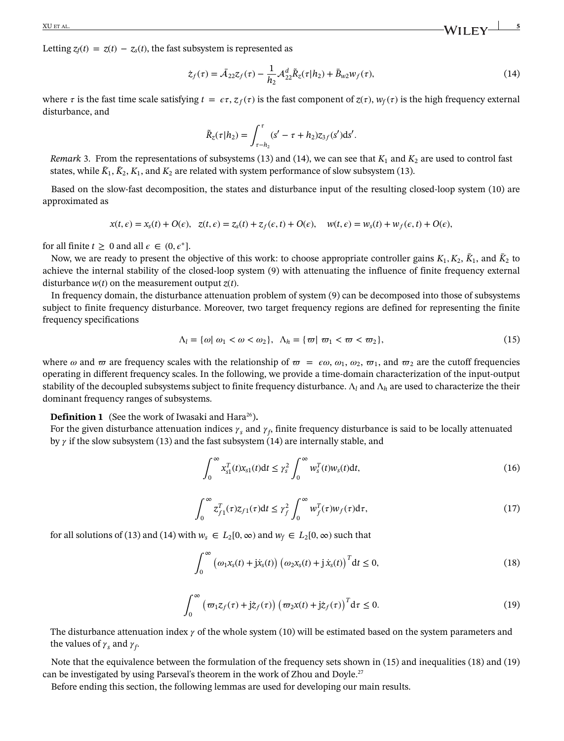$\frac{XU E T A L}{S}$  **S** 

Letting  $z_f(t) = z(t) - z_s(t)$ , the fast subsystem is represented as

<span id="page-4-1"></span>
$$
\dot{z}_f(\tau) = \bar{\mathcal{A}}_{22} z_f(\tau) - \frac{1}{h_2} \mathcal{A}_{22}^d \tilde{R}_z(\tau | h_2) + \bar{B}_{w2} w_f(\tau), \tag{14}
$$

where  $\tau$  is the fast time scale satisfying  $t = \epsilon \tau$ ,  $z_f(\tau)$  is the fast component of  $z(\tau)$ ,  $w_f(\tau)$  is the high frequency external disturbance, and

$$
\tilde{R}_z(\tau|h_2) = \int_{\tau-h_2}^{\tau} (s' - \tau + h_2) z_{3f}(s') ds'.
$$

<span id="page-4-0"></span>*Remark* [3.](#page-4-0) From the representations of subsystems [\(13\)](#page-3-3) and [\(14\)](#page-4-1), we can see that  $K_1$  and  $K_2$  are used to control fast states, while  $\bar{K}_1$ ,  $\bar{K}_2$ ,  $K_1$ , and  $K_2$  are related with system performance of slow subsystem [\(13\)](#page-3-3).

Based on the slow-fast decomposition, the states and disturbance input of the resulting closed-loop system [\(10\)](#page-3-2) are approximated as

$$
x(t,\epsilon) = x_s(t) + O(\epsilon), \quad z(t,\epsilon) = z_s(t) + z_f(\epsilon,t) + O(\epsilon), \quad w(t,\epsilon) = w_s(t) + w_f(\epsilon,t) + O(\epsilon),
$$

for all finite  $t > 0$  and all  $\epsilon \in (0, \epsilon^*]$ .

Now, we are ready to present the objective of this work: to choose appropriate controller gains  $K_1, K_2, \bar{K}_1$ , and  $\bar{K}_2$  to achieve the internal stability of the closed-loop system [\(9\)](#page-3-0) with attenuating the influence of finite frequency external disturbance *w*(*t*) on the measurement output *z*(*t*).

In frequency domain, the disturbance attenuation problem of system [\(9\)](#page-3-0) can be decomposed into those of subsystems subject to finite frequency disturbance. Moreover, two target frequency regions are defined for representing the finite frequency specifications

<span id="page-4-3"></span>
$$
\Lambda_l = \{ \omega \mid \omega_1 < \omega < \omega_2 \}, \quad \Lambda_h = \{ \varpi \mid \varpi_1 < \varpi < \varpi_2 \}, \tag{15}
$$

where  $\omega$  and  $\omega$  are frequency scales with the relationship of  $\omega = \epsilon \omega$ ,  $\omega_1$ ,  $\omega_2$ ,  $\omega_1$ , and  $\omega_2$  are the cutoff frequencies operating in different frequency scales. In the following, we provide a time-domain characterization of the input-output stability of the decoupled subsystems subject to finite frequency disturbance. Λ*<sup>l</sup>* and Λ*<sup>h</sup>* are used to characterize the their dominant frequency ranges of subsystems.

<span id="page-4-2"></span>**Definition [1](#page-4-2)** (See the work of Iwasaki and Hara<sup>26</sup>).

For the given disturbance attenuation indices  $\gamma_s$  and  $\gamma_f$ , finite frequency disturbance is said to be locally attenuated by  $\gamma$  if the slow subsystem [\(13\)](#page-3-3) and the fast subsystem [\(14\)](#page-4-1) are internally stable, and

<span id="page-4-7"></span>
$$
\int_0^\infty x_{s1}^T(t)x_{s1}(t)dt \le \gamma_s^2 \int_0^\infty w_s^T(t)w_s(t)dt,
$$
\n(16)

$$
\int_0^\infty z_{f1}^T(\tau)z_{f1}(\tau)dt \le \gamma_f^2 \int_0^\infty w_f^T(\tau)w_f(\tau)d\tau,
$$
\n(17)

<span id="page-4-6"></span>for all solutions of [\(13\)](#page-3-3) and [\(14\)](#page-4-1) with  $w_s \in L_2[0, \infty)$  and  $w_f \in L_2[0, \infty)$  such that

<span id="page-4-4"></span>
$$
\int_0^\infty \left( \omega_1 x_s(t) + j\dot{x}_s(t) \right) \left( \omega_2 x_s(t) + j\dot{x}_s(t) \right)^T dt \le 0,
$$
\n(18)

$$
\int_0^\infty \left( \varpi_1 z_f(\tau) + j \dot{z}_f(\tau) \right) \left( \varpi_2 x(t) + j \dot{z}_f(\tau) \right)^T d\tau \le 0.
$$
\n(19)

<span id="page-4-5"></span>The disturbance attenuation index  $\gamma$  of the whole system [\(10\)](#page-3-2) will be estimated based on the system parameters and the values of  $\gamma_s$  and  $\gamma_f$ .

Note that the equivalence between the formulation of the frequency sets shown in [\(15\)](#page-4-3) and inequalities [\(18\)](#page-4-4) and [\(19\)](#page-4-5) can be investigated by using Parseval's theorem in the work of Zhou and Doyle.<sup>27</sup>

Before ending this section, the following lemmas are used for developing our main results.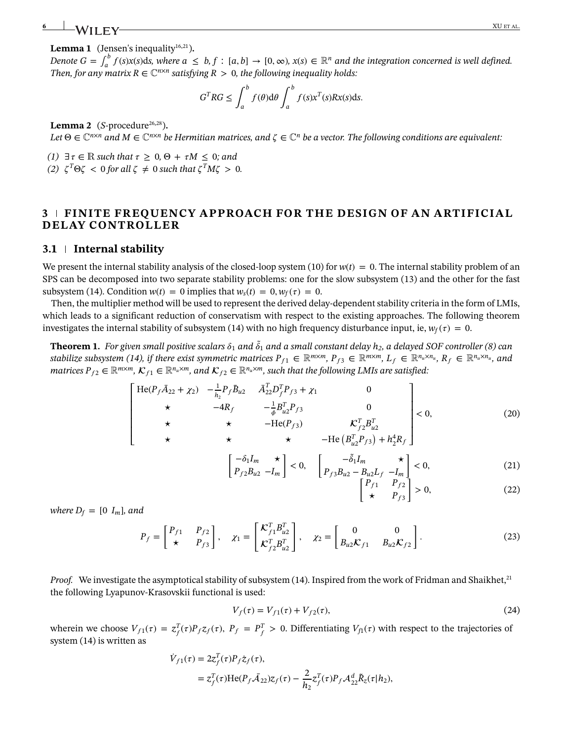#### <span id="page-5-0"></span>**Lemma [1](#page-5-0)** (Jensen's inequality<sup>16,21</sup>).

Denote  $G = \int_a^b f(s)x(s)ds$ , where  $a \leq b, f : [a, b] \to [0, \infty)$ ,  $x(s) \in \mathbb{R}^n$  and the integration concerned is well defined. *Then, for any matrix R*  $\in \mathbb{C}^{n \times n}$  *satisfying R > 0, the following inequality holds:* 

$$
GTRG \le \int_a^b f(\theta) d\theta \int_a^b f(s) xT(s) R x(s) ds.
$$

<span id="page-5-1"></span>**Lemma** [2](#page-5-1) ( $S$ -procedure<sup>26,28</sup>).

*Let*  $\Theta \in \mathbb{C}^{n \times n}$  and  $M \in \mathbb{C}^{n \times n}$  be Hermitian matrices, and  $\zeta \in \mathbb{C}^n$  be a vector. The following conditions are equivalent:

- *(1)* ∃  $\tau \in \mathbb{R}$  *such that*  $\tau \geq 0$ ,  $\Theta + \tau M \leq 0$ *; and*
- *(2)*  $\zeta^T \Theta \zeta < 0$  for all  $\zeta \neq 0$  such that  $\zeta^T M \zeta > 0$ .

## **3 FINITE FREQUENCY APPROACH FOR THE DESIGN OF AN ARTIFICIAL DELAY CONTROLLER**

#### **3.1 Internal stability**

We present the internal stability analysis of the closed-loop system [\(10\)](#page-3-2) for  $w(t) = 0$ . The internal stability problem of an SPS can be decomposed into two separate stability problems: one for the slow subsystem [\(13\)](#page-3-3) and the other for the fast subsystem [\(14\)](#page-4-1). Condition  $w(t) = 0$  implies that  $w_s(t) = 0, w_f(\tau) = 0$ .

Then, the multiplier method will be used to represent the derived delay-dependent stability criteria in the form of LMIs, which leads to a significant reduction of conservatism with respect to the existing approaches. The following theorem investigates the internal stability of subsystem [\(14\)](#page-4-1) with no high frequency disturbance input, ie,  $w_f(\tau) = 0$ .

<span id="page-5-2"></span> $\bf Theorem~1.$  *For given small positive scalars*  $\delta_1$  *and*  $\tilde{\delta}_1$  *and a small constant delay*  $h_2$ *, a delayed SOF controller [\(8\)](#page-2-6) can stabilize subsystem [\(14\)](#page-4-1), if there exist symmetric matrices*  $P_{f1} \in \mathbb{R}^{m \times m}$ *,*  $P_{f3} \in \mathbb{R}^{m \times m}$ *,*  $L_f \in \mathbb{R}^{n_u \times n_u}$ *,*  $R_f \in \mathbb{R}^{n_u \times n_u}$ *, and matrices*  $P_{f2} \in \mathbb{R}^{m \times m}$ ,  $\mathcal{K}_{f1} \in \mathbb{R}^{n_u \times m}$ , and  $\mathcal{K}_{f2} \in \mathbb{R}^{n_u \times m}$ , such that the following LMIs are satisfied:

$$
\begin{bmatrix}\n\text{He}(P_f \bar{A}_{22} + \chi_2) & -\frac{1}{h_2} P_f \bar{B}_{u2} & \bar{A}_{22}^T D_f^T P_{f3} + \chi_1 & 0 \\
\star & -4R_f & -\frac{1}{\phi} B_{u2}^T P_{f3} & 0 \\
\star & \star & -\text{He}(P_{f3}) & \mathcal{K}_{f2}^T B_{u2}^T \\
\star & \star & \star & -\text{He}(B_{\rho}^T P_{f3}) + h_2^4 R_f\n\end{bmatrix} < 0,
$$
\n(20)

$$
\star \qquad \star \qquad \star \qquad \text{--He} \left( B_{u2}^T P_{f3} \right) + h_2^4 R_f \qquad \qquad \text{--} \left[ -\delta_1 I_m \qquad \star \right]_{\epsilon,0} \qquad \left[ -\delta_1 I_m \qquad \star \right]_{\epsilon,0}
$$

$$
\begin{aligned}\n-\delta_1 I_m &\star \\
P_{f2} B_{u2} - I_m\n\end{aligned}\n\bigg| < 0, \quad\n\begin{bmatrix}\n-\delta_1 I_m &\star \\
P_{f3} B_{u2} - B_{u2} L_f & -I_m\n\end{bmatrix} < 0,\n\end{aligned}\n\tag{21}
$$

<span id="page-5-3"></span>
$$
\begin{bmatrix} P_{f1} & P_{f2} \\ \star & P_{f3} \end{bmatrix} > 0,\tag{22}
$$

<span id="page-5-6"></span><span id="page-5-4"></span>*where*  $D_f = [0 I_m]$ *, and* 

<span id="page-5-5"></span>
$$
P_f = \begin{bmatrix} P_{f1} & P_{f2} \\ \star & P_{f3} \end{bmatrix}, \quad \chi_1 = \begin{bmatrix} \mathcal{K}_{f1}^T B_{u2}^T \\ \mathcal{K}_{f2}^T B_{u2}^T \end{bmatrix}, \quad \chi_2 = \begin{bmatrix} 0 & 0 \\ B_{u2} \mathcal{K}_{f1} & B_{u2} \mathcal{K}_{f2} \end{bmatrix} . \tag{23}
$$

*Proof.* We investigate the asymptotical stability of subsystem [\(14\)](#page-4-1). Inspired from the work of Fridman and Shaikhet,<sup>21</sup> the following Lyapunov-Krasovskii functional is used:

<span id="page-5-7"></span>
$$
V_f(\tau) = V_{f1}(\tau) + V_{f2}(\tau),
$$
\n(24)

wherein we choose  $V_{f1}(\tau) = z_f^T(\tau)P_f z_f(\tau)$ ,  $P_f = P_f^T > 0$ . Differentiating  $V_{f1}(\tau)$  with respect to the trajectories of system [\(14\)](#page-4-1) is written as

$$
\begin{aligned} \dot{V}_{f1}(\tau) &= 2z_f^T(\tau)P_f\dot{z}_f(\tau), \\ &= z_f^T(\tau)\mathrm{He}(P_f\bar{\mathcal{A}}_{22})z_f(\tau) - \frac{2}{h_2}z_f^T(\tau)P_f\mathcal{A}_{22}^d\tilde{R}_z(\tau|h_2), \end{aligned}
$$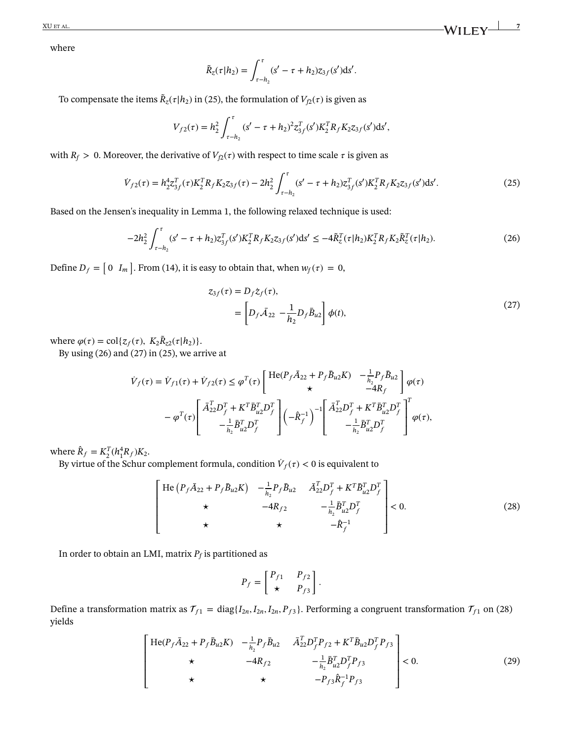where

<span id="page-6-0"></span>
$$
\tilde{R}_{z}(\tau|h_2) = \int_{\tau-h_2}^{\tau} (s' - \tau + h_2) z_{3f}(s') ds'.
$$

To compensate the items  $\tilde{R}_z(\tau | h_2)$  in [\(25\)](#page-6-0), the formulation of  $V_{f2}(\tau)$  is given as

$$
V_{f2}(\tau) = h_2^2 \int_{\tau - h_2}^{\tau} (s' - \tau + h_2)^2 z_{3f}^T(s') K_2^T R_f K_2 z_{3f}(s') ds',
$$

with  $R_f > 0$ . Moreover, the derivative of  $V_{f2}(\tau)$  with respect to time scale  $\tau$  is given as

$$
\dot{V}_{f2}(\tau) = h_2^4 z_{3f}^T(\tau) K_2^T R_f K_2 z_{3f}(\tau) - 2h_2^2 \int_{\tau - h_2}^{\tau} (s' - \tau + h_2) z_{3f}^T(s') K_2^T R_f K_2 z_{3f}(s') ds'. \tag{25}
$$

Based on the Jensen's inequality in Lemma [1,](#page-5-0) the following relaxed technique is used:

$$
-2h_2^2 \int_{\tau-h_2}^{\tau} (s'-\tau+h_2) z_{3f}^T(s') K_2^T R_f K_2 z_{3f}(s') ds' \le -4\tilde{R}_z^T(\tau|h_2) K_2^T R_f K_2 \tilde{R}_z^T(\tau|h_2). \tag{26}
$$

Define  $D_f = \begin{bmatrix} 0 & I_m \end{bmatrix}$ ] . From [\(14\)](#page-4-1), it is easy to obtain that, when  $w_f(\tau) = 0$ ,

<span id="page-6-2"></span><span id="page-6-1"></span>
$$
z_{3f}(\tau) = D_f \dot{z}_f(\tau),
$$
  
=  $\left[ D_f \bar{A}_{22} - \frac{1}{h_2} D_f \bar{B}_{u2} \right] \phi(t),$  (27)

where  $\varphi(\tau) = \text{col}\lbrace z_f(\tau), K_2\tilde{R}_{z2}(\tau|h_2)\rbrace.$ 

By using  $(26)$  and  $(27)$  in  $(25)$ , we arrive at

$$
\begin{split} \dot{V}_f(\tau) &= \dot{V}_{f1}(\tau) + \dot{V}_{f2}(\tau) \leq \varphi^T(\tau) \left[ \begin{array}{cc} \text{He}(P_f \bar{A}_{22} + P_f \bar{B}_{u2} K) & -\frac{1}{h_2} P_f \bar{B}_{u2} \\ \star & -4 R_f \end{array} \right] \varphi(\tau) \\ &- \varphi^T(\tau) \left[ \begin{array}{c} \bar{A}_{22}^T D_f^T + K^T \bar{B}_{u2}^T D_f^T \\ -\frac{1}{h_2} \bar{B}_{u2}^T D_f^T \end{array} \right] \left( -\hat{R}_f^{-1} \right)^{-1} \left[ \begin{array}{c} \bar{A}_{22}^T D_f^T + K^T \bar{B}_{u2}^T D_f^T \\ -\frac{1}{h_2} \bar{B}_{u2}^T D_f^T \end{array} \right]^T \varphi(\tau), \end{split}
$$

where  $\hat{R}_f = K_2^T (h_1^4 R_f) K_2$ .

By virtue of the Schur complement formula, condition  $\dot{V}_f(\tau) < 0$  is equivalent to

$$
\begin{bmatrix}\n\text{He} (P_f \bar{A}_{22} + P_f \bar{B}_{u2} K) & -\frac{1}{h_2} P_f \bar{B}_{u2} & \bar{A}_{22}^T D_f^T + K^T \bar{B}_{u2}^T D_f^T \\
\star & -4R_{f2} & -\frac{1}{h_2} \bar{B}_{u2}^T D_f^T \\
\star & \star & -\hat{R}_f^{-1}\n\end{bmatrix} < 0.
$$
\n(28)

In order to obtain an LMI, matrix  $P_f$  is partitioned as

<span id="page-6-3"></span>
$$
P_f = \begin{bmatrix} P_{f1} & P_{f2} \\ \star & P_{f3} \end{bmatrix}.
$$

<span id="page-6-4"></span>Define a transformation matrix as  $\mathcal{T}_{f1} = \text{diag}\{I_{2n}, I_{2n}, I_{2n}, P_{f3}\}$ . Performing a congruent transformation  $\mathcal{T}_{f1}$  on [\(28\)](#page-6-3) yields

$$
\begin{bmatrix}\n\text{He}(P_f \bar{A}_{22} + P_f \bar{B}_{u2} K) & -\frac{1}{h_2} P_f \bar{B}_{u2} & \bar{A}_{22}^T D_f^T P_{f2} + K^T \bar{B}_{u2} D_f^T P_{f3} \\
\star & -4R_{f2} & -\frac{1}{h_2} \bar{B}_{u2}^T D_f^T P_{f3} \\
\star & \star & -P_{f3} \hat{R}_f^{-1} P_{f3}\n\end{bmatrix} < 0.
$$
\n(29)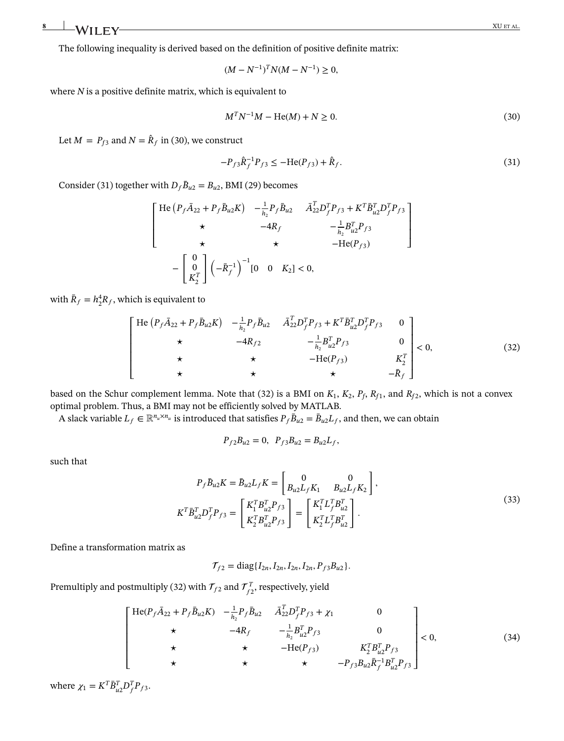The following inequality is derived based on the definition of positive definite matrix:

<span id="page-7-0"></span>
$$
(M - N^{-1})^T N (M - N^{-1}) \ge 0,
$$

where *N* is a positive definite matrix, which is equivalent to

<span id="page-7-1"></span>
$$
M^T N^{-1} M - \text{He}(M) + N \ge 0. \tag{30}
$$

Let  $M = P_{f3}$  and  $N = \hat{R}_f$  in [\(30\)](#page-7-0), we construct

$$
-P_{f3}\hat{R}_f^{-1}P_{f3} \le -\text{He}(P_{f3}) + \hat{R}_f. \tag{31}
$$

Consider [\(31\)](#page-7-1) together with  $D_f \bar{B}_{u2} = B_{u2}$ , BMI [\(29\)](#page-6-4) becomes

$$
\begin{bmatrix}\n\text{He} (P_f \bar{A}_{22} + P_f \bar{B}_{u2} K) & -\frac{1}{h_2} P_f \bar{B}_{u2} & \bar{A}_{22}^T D_f^T P_{f3} + K^T \bar{B}_{u2}^T D_f^T P_{f3} \\
\star & -4R_f & -\frac{1}{h_2} B_{u2}^T P_{f3} \\
\star & \star & -\text{He}(P_{f3})\n\end{bmatrix}
$$
\n
$$
-\begin{bmatrix}\n0 \\
0 \\
K_2^T\n\end{bmatrix} \left(-\bar{R}_f^{-1}\right)^{-1} [0 \quad 0 \quad K_2] < 0,
$$

with  $\bar{R}_f = h_2^4 R_f$ , which is equivalent to

<span id="page-7-2"></span>
$$
\begin{bmatrix}\n\text{He}(P_f \bar{A}_{22} + P_f \bar{B}_{u2} K) & -\frac{1}{h_2} P_f \bar{B}_{u2} & \bar{A}_{22}^T D_f^T P_{f3} + K^T \bar{B}_{u2}^T D_f^T P_{f3} & 0 \\
\star & -4R_{f2} & -\frac{1}{h_2} B_{u2}^T P_{f3} & 0 \\
\star & \star & -\text{He}(P_{f3}) & K_2^T \\
\star & \star & \star & -\bar{R}_f\n\end{bmatrix} < 0,
$$
\n(32)

based on the Schur complement lemma. Note that [\(32\)](#page-7-2) is a BMI on  $K_1$ ,  $K_2$ ,  $P_f$ ,  $R_{f1}$ , and  $R_{f2}$ , which is not a convex optimal problem. Thus, a BMI may not be efficiently solved by MATLAB.

A slack variable  $L_f \in \mathbb{R}^{n_u \times n_u}$  is introduced that satisfies  $P_f \bar{B}_{u2} = \bar{B}_{u2} L_f$ , and then, we can obtain

$$
P_{f2}B_{u2}=0, P_{f3}B_{u2}=B_{u2}L_f,
$$

such that

$$
P_f \bar{B}_{u2} K = \bar{B}_{u2} L_f K = \begin{bmatrix} 0 & 0 \\ B_{u2} L_f K_1 & B_{u2} L_f K_2 \end{bmatrix},
$$
  
\n
$$
K^T \bar{B}_{u2}^T D_f^T P_{f3} = \begin{bmatrix} K_1^T B_{u2}^T P_{f3} \\ K_2^T B_{u2}^T P_{f3} \end{bmatrix} = \begin{bmatrix} K_1^T L_f^T B_{u2}^T \\ K_2^T L_f^T B_{u2}^T \end{bmatrix}.
$$
\n(33)

Define a transformation matrix as

<span id="page-7-3"></span>
$$
\mathcal{T}_{f2} = \text{diag}\{I_{2n}, I_{2n}, I_{2n}, I_{2n}, P_{f3}B_{u2}\}.
$$

Premultiply and postmultiply [\(32\)](#page-7-2) with  $\mathcal{T}_{f2}$  and  $\mathcal{T}_{f2}^T$ , respectively, yield

$$
\begin{bmatrix}\n\text{He}(P_f \bar{A}_{22} + P_f \bar{B}_{u2} K) & -\frac{1}{h_2} P_f \bar{B}_{u2} & \bar{A}_{22}^T D_f^T P_{f3} + \chi_1 & 0 \\
\star & -4R_f & -\frac{1}{h_2} B_{u2}^T P_{f3} & 0 \\
\star & \star & -\text{He}(P_{f3}) & K_2^T B_{u2}^T P_{f3} \\
\star & \star & \star & -P_{f3} B_{u2} \bar{R}_f^{-1} B_{u2}^T P_{f3}\n\end{bmatrix} < 0,
$$
\n(34)

where  $\chi_1 = K^T \bar{B}_{u2}^T D_f^T P_{f3}$ .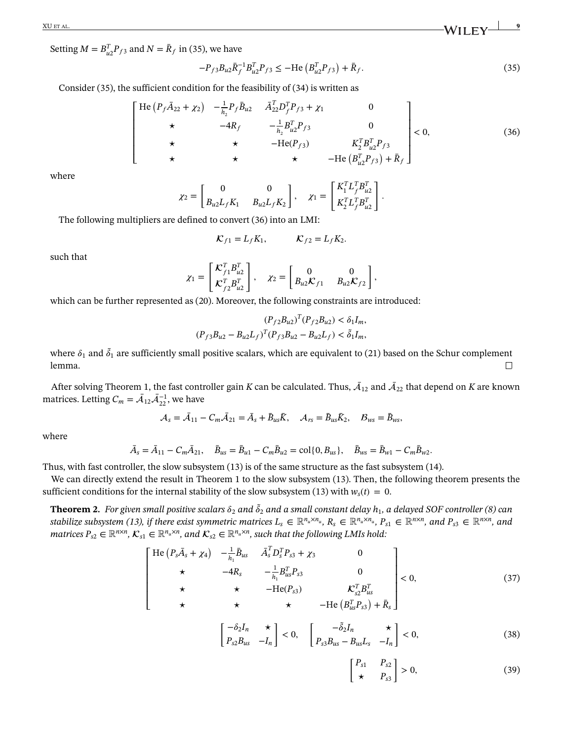XU ET AL. **9**

Setting  $M = B_{u2}^T P_{f3}$  and  $N = \bar{R}_f$  in [\(35\)](#page-8-0), we have

<span id="page-8-1"></span><span id="page-8-0"></span>
$$
-P_{f3}B_{u2}\bar{R}_{f}^{-1}B_{u2}^{T}P_{f3} \le -\text{He}\left(B_{u2}^{T}P_{f3}\right) + \bar{R}_{f}. \tag{35}
$$

Consider [\(35\)](#page-8-0), the sufficient condition for the feasibility of [\(34\)](#page-7-3) is written as

$$
\begin{bmatrix}\n\text{He}(P_f \bar{A}_{22} + \chi_2) & -\frac{1}{h_2} P_f \bar{B}_{u2} & \bar{A}_{22}^T D_f^T P_{f3} + \chi_1 & 0 \\
\star & -4R_f & -\frac{1}{h_2} B_{u2}^T P_{f3} & 0 \\
\star & \star & -\text{He}(P_{f3}) & K_2^T B_{u2}^T P_{f3} \\
\star & \star & \star & -\text{He}(B_{u2}^T P_{f3}) + \bar{R}_f\n\end{bmatrix} < 0,
$$
\n(36)

where

$$
\chi_2 = \begin{bmatrix} 0 & 0 \\ B_{u2}L_f K_1 & B_{u2}L_f K_2 \end{bmatrix}, \quad \chi_1 = \begin{bmatrix} K_1^T L_f^T B_{u2}^T \\ K_2^T L_f^T B_{u2}^T \end{bmatrix}.
$$

The following multipliers are defined to convert [\(36\)](#page-8-1) into an LMI:

$$
\mathcal{K}_{f1} = L_f K_1, \qquad \qquad \mathcal{K}_{f2} = L_f K_2.
$$

such that

$$
\chi_1 = \begin{bmatrix} \mathcal{K}_{f1}^T B_{u2}^T \\ \mathcal{K}_{f2}^T B_{u2}^T \end{bmatrix}, \quad \chi_2 = \begin{bmatrix} 0 & 0 \\ B_{u2} \mathcal{K}_{f1} & B_{u2} \mathcal{K}_{f2} \end{bmatrix},
$$

which can be further represented as [\(20\)](#page-5-3). Moreover, the following constraints are introduced:

$$
(P_{f2}B_{u2})^T (P_{f2}B_{u2}) < \delta_1 I_m,
$$
\n
$$
(P_{f3}B_{u2} - B_{u2}L_f)^T (P_{f3}B_{u2} - B_{u2}L_f) < \tilde{\delta}_1 I_m,
$$

where  $\delta_1$  and  $\tilde{\delta}_1$  are sufficiently small positive scalars, which are equivalent to [\(21\)](#page-5-4) based on the Schur complement lemma.  $\Box$ 

After solving Theorem [1,](#page-5-5) the fast controller gain *K* can be calculated. Thus,  $\bar{\cal A}_{12}$  and  $\bar{\cal A}_{22}$  that depend on *K* are known matrices. Letting  $C_m = \bar{A}_{12} \bar{A}_{22}^{-1}$ , we have

$$
\mathcal{A}_s = \bar{\mathcal{A}}_{11} - C_m \bar{\mathcal{A}}_{21} = \bar{A}_s + \bar{B}_{us} \bar{K}, \quad \mathcal{A}_{rs} = \bar{B}_{us} \bar{K}_2, \quad \mathcal{B}_{ws} = \bar{B}_{ws},
$$

where

$$
\bar{A}_s = \bar{A}_{11} - C_m \bar{A}_{21}, \quad \bar{B}_{us} = \bar{B}_{u1} - C_m \bar{B}_{u2} = \text{col}\{0, B_{us}\}, \quad \bar{B}_{ws} = \bar{B}_{w1} - C_m \bar{B}_{w2}.
$$

Thus, with fast controller, the slow subsystem [\(13\)](#page-3-3) is of the same structure as the fast subsystem [\(14\)](#page-4-1).

We can directly extend the result in Theorem [1](#page-5-5) to the slow subsystem [\(13\)](#page-3-3). Then, the following theorem presents the sufficient conditions for the internal stability of the slow subsystem [\(13\)](#page-3-3) with  $w_s(t) = 0$ .

<span id="page-8-4"></span><span id="page-8-3"></span><span id="page-8-2"></span> $\bf Theorem~2.$  *For given small positive scalars*  $\delta_2$  *and*  $\tilde{\delta}_2$  *and a small constant delay*  $h_1$ *, a delayed SOF controller [\(8\)](#page-2-6) can stabilize subsystem [\(13\)](#page-3-3), if there exist symmetric matrices*  $L_s \in \mathbb{R}^{n_u \times n_u}$ ,  $R_s \in \mathbb{R}^{n_u \times n_u}$ ,  $P_{s1} \in \mathbb{R}^{n \times n}$ , and  $P_{s3} \in \mathbb{R}^{n \times n}$ , and *matrices*  $P_{s2} \in \mathbb{R}^{n \times n}$ ,  $\mathcal{K}_{s1} \in \mathbb{R}^{n_u \times n}$ , and  $\mathcal{K}_{s2} \in \mathbb{R}^{n_u \times n}$ , such that the following LMIs hold:

$$
\begin{bmatrix}\n\text{He}(P_s\overline{A}_s + \chi_4) & -\frac{1}{h_1}\overline{B}_{us} & \overline{A}_s^T D_s^T P_{s3} + \chi_3 & 0 \\
\star & -4R_s & -\frac{1}{h_1}B_{us}^T P_{s3} & 0 \\
\star & \star & -\text{He}(P_{s3}) & \mathcal{K}_{s2}^T B_{us}^T \\
\star & \star & \star & -\text{He}(B_{us}^T P_{s3}) + \overline{R}_s\n\end{bmatrix} < 0,\n\tag{37}
$$

$$
\begin{bmatrix} -\delta_2 I_n & \star \\ P_{s2} B_{us} & -I_n \end{bmatrix} < 0, \quad \begin{bmatrix} -\tilde{\delta}_2 I_n & \star \\ P_{s3} B_{us} - B_{us} L_s & -I_n \end{bmatrix} < 0,
$$
 (38)

<span id="page-8-5"></span>
$$
\begin{bmatrix} P_{s1} & P_{s2} \\ \star & P_{s3} \end{bmatrix} > 0,\tag{39}
$$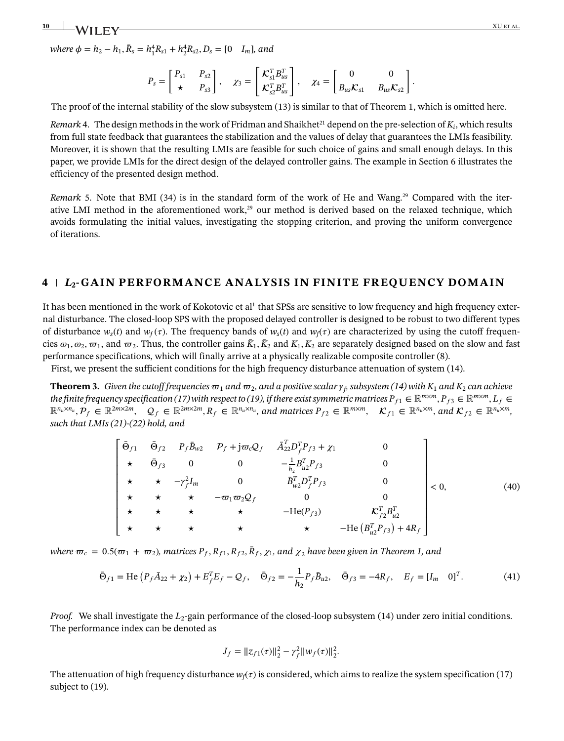**10** XU ET AL.

 $where \phi = h_2 - h_1$ ,  $\bar{R}_s = h_1^4 R_{s1} + h_2^4 R_{s2}$ ,  $D_s = [0 I_m]$ , and

$$
P_s = \begin{bmatrix} P_{s1} & P_{s2} \\ \star & P_{s3} \end{bmatrix}, \quad \chi_3 = \begin{bmatrix} \mathcal{K}_{s1}^T B_{us}^T \\ \mathcal{K}_{s2}^T B_{us}^T \end{bmatrix}, \quad \chi_4 = \begin{bmatrix} 0 & 0 \\ B_{us} \mathcal{K}_{s1} & B_{us} \mathcal{K}_{s2} \end{bmatrix}.
$$

The proof of the internal stability of the slow subsystem [\(13\)](#page-3-3) is similar to that of Theorem [1,](#page-5-5) which is omitted here.

<span id="page-9-0"></span>*Remark* [4.](#page-9-0) The design methods in the work of Fridman and Shaikhet<sup>21</sup> depend on the pre-selection of  $K_i$ , which results from full state feedback that guarantees the stabilization and the values of delay that guarantees the LMIs feasibility. Moreover, it is shown that the resulting LMIs are feasible for such choice of gains and small enough delays. In this paper, we provide LMIs for the direct design of the delayed controller gains. The example in Section 6 illustrates the efficiency of the presented design method.

<span id="page-9-1"></span>*Remark* [5.](#page-9-1) Note that BMI [\(34\)](#page-7-3) is in the standard form of the work of He and Wang.<sup>29</sup> Compared with the iterative LMI method in the aforementioned work, $^{29}$  our method is derived based on the relaxed technique, which avoids formulating the initial values, investigating the stopping criterion, and proving the uniform convergence of iterations.

#### **4** *L***2-GAIN PERFORMANCE ANALYSIS IN FINITE FREQUENCY DOMAIN**

It has been mentioned in the work of Kokotovic et al<sup>1</sup> that SPSs are sensitive to low frequency and high frequency external disturbance. The closed-loop SPS with the proposed delayed controller is designed to be robust to two different types of disturbance  $w_s(t)$  and  $w_f(\tau)$ . The frequency bands of  $w_s(t)$  and  $w_f(\tau)$  are characterized by using the cutoff frequencies  $\omega_1, \omega_2, \omega_1$ , and  $\omega_2$ . Thus, the controller gains  $\bar{K}_1, \bar{K}_2$  and  $K_1, K_2$  are separately designed based on the slow and fast performance specifications, which will finally arrive at a physically realizable composite controller [\(8\)](#page-2-6).

First, we present the sufficient conditions for the high frequency disturbance attenuation of system [\(14\)](#page-4-1).

<span id="page-9-2"></span>**Theorem [3.](#page-9-2)** Given the cutoff frequencies  $\varpi_1$  and  $\varpi_2$ , and a positive scalar  $\gamma_6$  subsystem [\(14\)](#page-4-1) with  $K_1$  and  $K_2$  can achieve *the finite frequency specification [\(17\)](#page-4-6)* with respect to [\(19\)](#page-4-5), if there exist symmetric matrices  $P_{f1} \in \mathbb{R}^{m \times m}$ ,  $P_{f3} \in \mathbb{R}^{m \times m}$ ,  $L_f \in$  $\mathbb{R}^{n_u \times n_u}, \mathcal{P}_f \in \mathbb{R}^{2m \times 2m}$ ,  $\mathcal{Q}_f \in \mathbb{R}^{2m \times 2m}$ ,  $R_f \in \mathbb{R}^{n_u \times n_u}$ , and matrices  $P_{f2} \in \mathbb{R}^{m \times m}$ ,  $\mathcal{K}_{f1} \in \mathbb{R}^{n_u \times m}$ , and  $\mathcal{K}_{f2} \in \mathbb{R}^{n_u \times m}$ , *such that LMIs [\(21\)](#page-5-4)-[\(22\)](#page-5-6) hold, and*

<span id="page-9-4"></span>
$$
\begin{bmatrix}\n\bar{\Theta}_{f1} & \bar{\Theta}_{f2} & P_f \bar{B}_{w2} & P_f + j \varpi_c Q_f & \bar{A}_{22}^T D_f^T P_{f3} + \chi_1 & 0 \\
\star & \bar{\Theta}_{f3} & 0 & 0 & -\frac{1}{h_2} B_{u2}^T P_{f3} & 0 \\
\star & \star & -\gamma_f^2 I_m & 0 & \bar{B}_{w2}^T D_f^T P_{f3} & 0 \\
\star & \star & \star & -\varpi_1 \varpi_2 Q_f & 0 & 0 \\
\star & \star & \star & \star & -\text{He}(P_{f3}) & K_{f2}^T B_{u2}^T \\
\star & \star & \star & \star & \star & -\text{He}(B_{u2}^T P_{f3}) + 4R_f\n\end{bmatrix} < 0,
$$
\n(40)

*where*  $\varpi_c = 0.5(\varpi_1 + \varpi_2)$ , matrices  $P_f$ ,  $R_{f1}$ ,  $R_{f2}$ ,  $\bar{R}_f$ ,  $\chi_1$ , and  $\chi_2$  have been given in Theorem [1,](#page-5-5) and

$$
\bar{\Theta}_{f1} = \text{He}\left(P_f \bar{A}_{22} + \chi_2\right) + E_f^T E_f - Q_f, \quad \bar{\Theta}_{f2} = -\frac{1}{h_2} P_f \bar{B}_{u2}, \quad \bar{\Theta}_{f3} = -4R_f, \quad E_f = [I_m \quad 0]^T. \tag{41}
$$

*Proof.* We shall investigate the *L*<sub>2</sub>-gain performance of the closed-loop subsystem [\(14\)](#page-4-1) under zero initial conditions. The performance index can be denoted as

<span id="page-9-3"></span>
$$
J_f = ||z_{f1}(\tau)||_2^2 - \gamma_f^2 ||w_f(\tau)||_2^2.
$$

The attenuation of high frequency disturbance  $w_f(\tau)$  is considered, which aims to realize the system specification [\(17\)](#page-4-6) subject to  $(19)$ .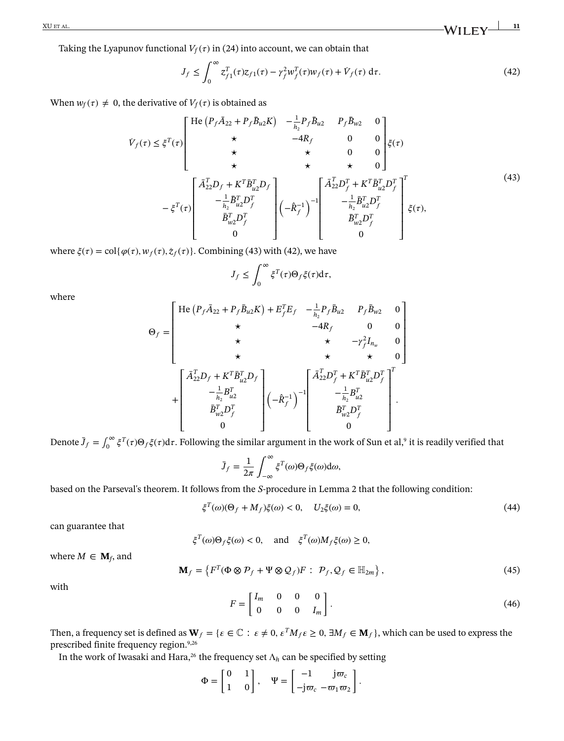$\frac{\text{XU ET AL.}}{\text{AUI E L}}$  **11** 

Taking the Lyapunov functional  $V_f(\tau)$  in [\(24\)](#page-5-7) into account, we can obtain that

<span id="page-10-1"></span><span id="page-10-0"></span>
$$
J_f \le \int_0^\infty z_{f1}^T(\tau)z_{f1}(\tau) - \gamma_f^2 w_f^T(\tau)w_f(\tau) + \dot{V}_f(\tau) d\tau.
$$
 (42)

When  $w_f(\tau) \neq 0$ , the derivative of  $V_f(\tau)$  is obtained as

$$
\dot{V}_{f}(\tau) \leq \xi^{T}(\tau) \begin{bmatrix}\n\text{He} (P_{f}\bar{A}_{22} + P_{f}\bar{B}_{u2}K) & -\frac{1}{h_{2}}P_{f}\bar{B}_{u2} & P_{f}\bar{B}_{w2} & 0 \\
\star & -4R_{f} & 0 & 0 \\
\star & \star & \star & 0 & 0 \\
\star & \star & \star & 0 & 0 \\
\star & \star & \star & 0 & 0\n\end{bmatrix} \xi(\tau) \\
-\xi^{T}(\tau) \begin{bmatrix}\n\bar{A}_{22}^{T}D_{f} + K^{T}\bar{B}_{u2}^{T}D_{f} \\
-\frac{1}{h_{2}}\bar{B}_{u2}^{T}D_{f}^{T} \\
\bar{B}_{u2}^{T}D_{f}^{T} \\
0\n\end{bmatrix} (-\hat{R}_{f}^{-1})^{-1} \begin{bmatrix}\n\bar{A}_{22}^{T}D_{f}^{T} + K^{T}\bar{B}_{u2}^{T}D_{f}^{T} \\
-\frac{1}{h_{2}}\bar{B}_{u2}^{T}D_{f}^{T} \\
\bar{B}_{u2}^{T}D_{f}^{T} \\
0\n\end{bmatrix} \xi(\tau),
$$
\n(43)

where  $\xi(\tau) = \text{col}\{\varphi(\tau), w_f(\tau), \dot{z}_f(\tau)\}\)$ . Combining [\(43\)](#page-10-0) with [\(42\)](#page-10-1), we have

$$
J_f \leq \int_0^\infty \xi^T(\tau) \Theta_f \xi(\tau) d\tau,
$$

where

$$
\Theta_{f} = \begin{bmatrix}\n\text{He} (P_{f} \bar{A}_{22} + P_{f} \bar{B}_{u2} K) + E_{f}^{T} E_{f} & -\frac{1}{h_{2}} P_{f} \bar{B}_{u2} & P_{f} \bar{B}_{w2} & 0 \\
\star & -4R_{f} & 0 & 0 \\
\star & \star & \star & -\gamma_{f}^{2} I_{n_{w}} & 0 \\
\star & \star & \star & \star & 0\n\end{bmatrix} \\
+ \begin{bmatrix}\n\bar{A}_{22}^{T} D_{f} + K^{T} \bar{B}_{u2}^{T} D_{f} \\
-\frac{1}{h_{2}} B_{u2}^{T} \\
\bar{B}_{w2}^{T} D_{f}^{T} \\
0\n\end{bmatrix} \begin{bmatrix}\n\bar{A}_{22}^{T} D_{f}^{T} + K^{T} \bar{B}_{u2}^{T} D_{f}^{T} \\
-\frac{1}{h_{2}} B_{u2}^{T} \\
\bar{B}_{w2}^{T} D_{f}^{T} \\
0\n\end{bmatrix}.
$$

Denote  $\bar{J}_f = \int_0^\infty \xi^T(\tau) \Theta_f \xi(\tau) d\tau$ . Following the similar argument in the work of Sun et al,<sup>9</sup> it is readily verified that

<span id="page-10-4"></span>
$$
\bar{J}_f = \frac{1}{2\pi} \int_{-\infty}^{\infty} \xi^T(\omega) \Theta_f \xi(\omega) d\omega,
$$

based on the Parseval's theorem. It follows from the *S*-procedure in Lemma [2](#page-5-1) that the following condition:

$$
\xi^{T}(\omega)(\Theta_{f} + M_{f})\xi(\omega) < 0, \quad U_{2}\xi(\omega) = 0,\tag{44}
$$

can guarantee that

 $\xi^T(\omega)\Theta_f\xi(\omega) < 0$ , and  $\xi^T(\omega)M_f\xi(\omega) \geq 0$ ,

where  $M \in \mathbf{M}_f$ , and

<span id="page-10-2"></span>
$$
\mathbf{M}_f = \left\{ F^T(\Phi \otimes \mathcal{P}_f + \Psi \otimes \mathcal{Q}_f) F : \ \mathcal{P}_f, \mathcal{Q}_f \in \mathbb{H}_{2m} \right\},\tag{45}
$$

<span id="page-10-3"></span>with

$$
F = \begin{bmatrix} I_m & 0 & 0 & 0 \\ 0 & 0 & 0 & I_m \end{bmatrix}.
$$
 (46)

Then, a frequency set is defined as  $W_f = \{ \epsilon \in \mathbb{C} : \epsilon \neq 0, \epsilon^T M_f \epsilon \geq 0, \exists M_f \in M_f \}$ , which can be used to express the prescribed finite frequency region.<sup>9,[26](#page-21-3)</sup>

In the work of Iwasaki and Hara,<sup>26</sup> the frequency set  $\Lambda_h$  can be specified by setting

$$
\Phi = \begin{bmatrix} 0 & 1 \\ 1 & 0 \end{bmatrix}, \quad \Psi = \begin{bmatrix} -1 & j\varpi_c \\ -j\varpi_c & -\varpi_1\varpi_2 \end{bmatrix}.
$$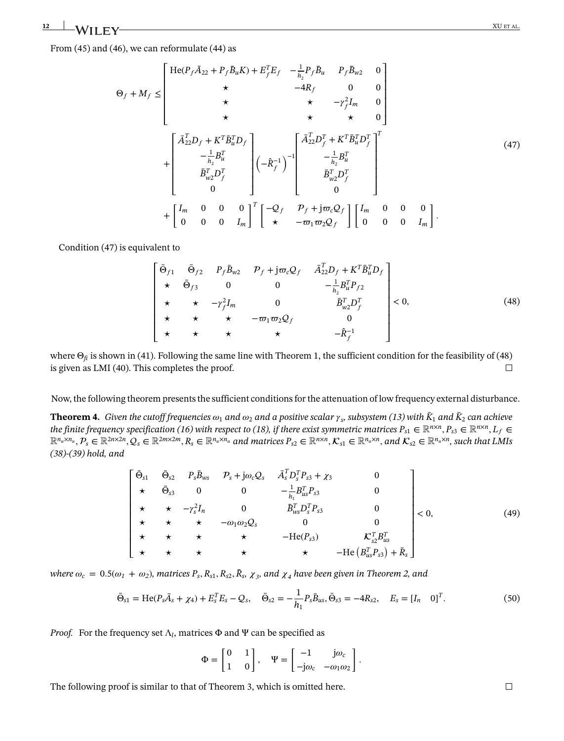$12$  **I**  $\lambda$   $\lambda$  i i  $\Gamma$   $\mathbf{W}$   $\mathbf{X}$  is the set of the set of the set of the set of the set of the set of the set of the set of the set of the set of the set of the set of the set of the set of the set of the set

From [\(45\)](#page-10-2) and [\(46\)](#page-10-3), we can reformulate [\(44\)](#page-10-4) as

<span id="page-11-0"></span>
$$
\Theta_{f} + M_{f} \leq \begin{bmatrix}\n\text{He}(P_{f}\bar{A}_{22} + P_{f}\bar{B}_{u}K) + E_{f}^{T}E_{f} & -\frac{1}{h_{2}}P_{f}\bar{B}_{u} & P_{f}\bar{B}_{w2} & 0 \\
\star & -4R_{f} & 0 & 0 \\
\star & \star & -\gamma_{f}^{2}I_{m} & 0 \\
\star & \star & \star & 0\n\end{bmatrix}
$$
\n
$$
+ \begin{bmatrix}\n\bar{A}_{22}^{T}D_{f} + K^{T}\bar{B}_{u}^{T}D_{f} \\
-\frac{1}{h_{2}}B_{u}^{T} \\
\bar{B}_{w2}^{T}D_{f}^{T} \\
0\n\end{bmatrix} \left(-\hat{R}_{f}^{-1}\right)^{-1} \begin{bmatrix}\n\bar{A}_{22}^{T}D_{f}^{T} + K^{T}\bar{B}_{u}^{T}D_{f}^{T} \\
-\frac{1}{h_{2}}B_{u}^{T} \\
\bar{B}_{w2}^{T}D_{f}^{T} \\
0\n\end{bmatrix} + \begin{bmatrix}\nI_{m} & 0 & 0 & 0 \\
0 & 0 & 0 & I_{m}\n\end{bmatrix}^{T} \begin{bmatrix}\n-Q_{f} & P_{f} + j\varpi_{c}Q_{f} \\
\star & -\varpi_{1}\varpi_{2}Q_{f}\n\end{bmatrix} \begin{bmatrix}\nI_{m} & 0 & 0 & 0 \\
0 & 0 & 0 & I_{m}\n\end{bmatrix}.
$$
\n(47)

Condition [\(47\)](#page-11-0) is equivalent to

<span id="page-11-1"></span>
$$
\begin{bmatrix}\n\bar{\Theta}_{f1} & \bar{\Theta}_{f2} & P_f \bar{B}_{w2} & P_f + j \varpi_c Q_f & \bar{A}_{22}^T D_f + K^T \bar{B}_u^T D_f \\
\star & \bar{\Theta}_{f3} & 0 & 0 & -\frac{1}{h_2} B_u^T P_{f2} \\
\star & \star & -\gamma_f^2 I_m & 0 & \bar{B}_{w2}^T D_f^T \\
\star & \star & \star & -\varpi_1 \varpi_2 Q_f & 0 \\
\star & \star & \star & \star & -\hat{R}_f^{-1}\n\end{bmatrix} < 0,
$$
\n(48)

where  $\Theta_{fi}$  is shown in [\(41\)](#page-9-3). Following the same line with Theorem [1,](#page-5-5) the sufficient condition for the feasibility of [\(48\)](#page-11-1) is given as LMI [\(40\)](#page-9-4). This completes the proof.  $\Box$ 

Now, the following theorem presents the sufficient conditions for the attenuation of low frequency external disturbance.

<span id="page-11-2"></span>**Theorem [4.](#page-11-2)** Given the cutoff frequencies  $\omega_1$  and  $\omega_2$  and a positive scalar  $\gamma_s$ , subsystem [\(13\)](#page-3-3) with  $\bar{K}_1$  and  $\bar{K}_2$  can achieve *the finite frequency specification [\(16\)](#page-4-7)* with respect to [\(18\)](#page-4-4), if there exist symmetric matrices  $P_{s1} \in \mathbb{R}^{n \times n}, P_{s3} \in \mathbb{R}^{n \times n}, L_f \in$  $\mathbb{R}^{n_u \times n_u}, P_s \in \mathbb{R}^{2n \times 2n}, Q_s \in \mathbb{R}^{2m \times 2m}, R_s \in \mathbb{R}^{n_u \times n_u}$  and matrices  $P_{s2} \in \mathbb{R}^{n \times n}, \mathcal{K}_{s1} \in \mathbb{R}^{n_u \times n}$ , and  $\mathcal{K}_{s2} \in \mathbb{R}^{n_u \times n}$ , such that LMIs *[\(38\)](#page-8-3)-[\(39\)](#page-8-4) hold, and*

<span id="page-11-4"></span>
$$
\begin{bmatrix}\n\bar{\Theta}_{s1} & \bar{\Theta}_{s2} & P_s \bar{B}_{ws} & P_s + j\omega_c Q_s & \bar{A}_s^T D_s^T P_{s3} + \chi_3 & 0 \\
\star & \bar{\Theta}_{s3} & 0 & 0 & -\frac{1}{h_1} B_{us}^T P_{s3} & 0 \\
\star & \star & -\gamma_s^2 I_n & 0 & \bar{B}_{ws}^T D_s^T P_{s3} & 0 \\
\star & \star & \star & -\omega_1 \omega_2 Q_s & 0 & 0 \\
\star & \star & \star & \star & -\text{He}(P_{s3}) & \mathcal{K}_{s2}^T B_{us}^T \\
\star & \star & \star & \star & \star & -\text{He}(B_{us}^T P_{s3}) + \bar{R}_s\n\end{bmatrix} < 0,
$$
\n(49)

where  $\omega_c = 0.5(\omega_1 + \omega_2)$ , matrices  $P_s$ ,  $R_{s1}$ ,  $R_{s2}$ ,  $\bar{R}_s$ ,  $\chi_3$ , and  $\chi_4$  have been given in Theorem [2,](#page-8-4) and

$$
\bar{\Theta}_{s1} = \text{He}(P_s\bar{A}_s + \chi_4) + E_s^T E_s - Q_s, \quad \bar{\Theta}_{s2} = -\frac{1}{h_1} P_s \bar{B}_{us}, \bar{\Theta}_{s3} = -4R_{s2}, \quad E_s = [I_n \quad 0]^T. \tag{50}
$$

*Proof.* For the frequency set  $\Lambda_l$ , matrices  $\Phi$  and  $\Psi$  can be specified as

$$
\Phi = \begin{bmatrix} 0 & 1 \\ 1 & 0 \end{bmatrix}, \quad \Psi = \begin{bmatrix} -1 & j\omega_c \\ -j\omega_c & -\omega_1\omega_2 \end{bmatrix}.
$$

The following proof is similar to that of Theorem [3,](#page-9-3) which is omitted here.

<span id="page-11-3"></span> $\Box$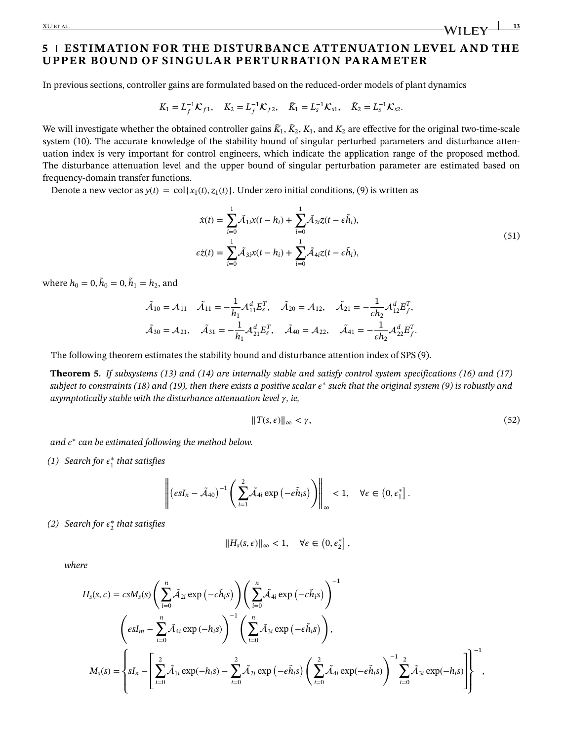XU ET AL. **13**<br>And the contract of the contract of the contract of the contract of the contract of the contract of the contract of the contract of the contract of the contract of the contract of the contract of the contrac

## **5 ESTIMATION FOR THE DISTURBANCE ATTENUATION LEVEL AND THE UPPER BOUND OF SINGULAR PERTURBATION PARAMETER**

In previous sections, controller gains are formulated based on the reduced-order models of plant dynamics

$$
K_1 = L_f^{-1} \mathcal{K}_{f1}, \quad K_2 = L_f^{-1} \mathcal{K}_{f2}, \quad \bar{K}_1 = L_s^{-1} \mathcal{K}_{s1}, \quad \bar{K}_2 = L_s^{-1} \mathcal{K}_{s2}.
$$

We will investigate whether the obtained controller gains  $\bar{K}_1$ ,  $\bar{K}_2$ ,  $K_1$ , and  $K_2$  are effective for the original two-time-scale system [\(10\)](#page-3-2). The accurate knowledge of the stability bound of singular perturbed parameters and disturbance attenuation index is very important for control engineers, which indicate the application range of the proposed method. The disturbance attenuation level and the upper bound of singular perturbation parameter are estimated based on frequency-domain transfer functions.

Denote a new vector as  $y(t) = \text{col}\{x_1(t), z_1(t)\}$ . Under zero initial conditions, [\(9\)](#page-3-0) is written as

<span id="page-12-1"></span>
$$
\dot{x}(t) = \sum_{i=0}^{1} \tilde{\mathcal{A}}_{1i} x(t - h_i) + \sum_{i=0}^{1} \tilde{\mathcal{A}}_{2i} z(t - \epsilon \tilde{h}_i),
$$
  
\n
$$
\epsilon \dot{z}(t) = \sum_{i=0}^{1} \tilde{\mathcal{A}}_{3i} x(t - h_i) + \sum_{i=0}^{1} \tilde{\mathcal{A}}_{4i} z(t - \epsilon \tilde{h}_i),
$$
\n(51)

where  $h_0 = 0, \tilde{h}_0 = 0, \tilde{h}_1 = h_2$ , and

$$
\tilde{A}_{10} = A_{11} \quad \tilde{A}_{11} = -\frac{1}{h_1} A_{11}^d E_s^T, \quad \tilde{A}_{20} = A_{12}, \quad \tilde{A}_{21} = -\frac{1}{\epsilon h_2} A_{12}^d E_f^T,
$$
\n
$$
\tilde{A}_{30} = A_{21}, \quad \tilde{A}_{31} = -\frac{1}{h_1} A_{21}^d E_s^T, \quad \tilde{A}_{40} = A_{22}, \quad \tilde{A}_{41} = -\frac{1}{\epsilon h_2} A_{22}^d E_f^T.
$$

The following theorem estimates the stability bound and disturbance attention index of SPS [\(9\)](#page-3-0).

<span id="page-12-0"></span>**Theorem [5.](#page-12-0)** *If subsystems [\(13\)](#page-3-3) and [\(14\)](#page-4-1) are internally stable and satisfy control system specifications [\(16\)](#page-4-7) and [\(17\)](#page-4-6) subject to constraints [\(18\)](#page-4-4) and [\(19\)](#page-4-5), then there exists a positive scalar* <sup>∗</sup> *such that the original system [\(9\)](#page-3-0) is robustly and* asymptotically stable with the disturbance attenuation level  $\gamma$ , ie,

<span id="page-12-2"></span>
$$
||T(s,\epsilon)||_{\infty} < \gamma,\tag{52}
$$

*and*  $\epsilon^*$  *can be estimated following the method below.* 

*(1)* Search for  $\epsilon_1^*$  that satisfies

$$
\left\| \left(\epsilon s I_n - \tilde{\mathcal{A}}_{40}\right)^{-1} \left( \sum_{i=1}^2 \tilde{\mathcal{A}}_{4i} \exp\left(-\epsilon \tilde{h}_i s\right) \right) \right\|_{\infty} < 1, \quad \forall \epsilon \in \left(0, \epsilon_1^*\right].
$$

*(2) Search for* <sup>∗</sup> <sup>2</sup> *that satisfies*

$$
||Hs(s, \epsilon)||_{\infty} < 1, \quad \forall \epsilon \in (0, \epsilon_2^*],
$$

*where*

$$
H_{s}(s, \epsilon) = \epsilon s M_{s}(s) \left( \sum_{i=0}^{n} \tilde{\mathcal{A}}_{2i} \exp(-\epsilon \tilde{h}_{i} s) \right) \left( \sum_{i=0}^{n} \tilde{\mathcal{A}}_{4i} \exp(-\epsilon \tilde{h}_{i} s) \right)^{-1}
$$

$$
\left( \epsilon s I_{m} - \sum_{i=0}^{n} \tilde{\mathcal{A}}_{4i} \exp(-h_{i} s) \right)^{-1} \left( \sum_{i=0}^{n} \tilde{\mathcal{A}}_{3i} \exp(-\epsilon \tilde{h}_{i} s) \right),
$$

$$
M_{s}(s) = \left\{ s I_{n} - \left[ \sum_{i=0}^{2} \tilde{\mathcal{A}}_{1i} \exp(-h_{i} s) - \sum_{i=0}^{2} \tilde{\mathcal{A}}_{2i} \exp(-\epsilon \tilde{h}_{i} s) \left( \sum_{i=0}^{2} \tilde{\mathcal{A}}_{4i} \exp(-\epsilon \tilde{h}_{i} s) \right)^{-1} \sum_{i=0}^{2} \tilde{\mathcal{A}}_{3i} \exp(-h_{i} s) \right] \right\}^{-1},
$$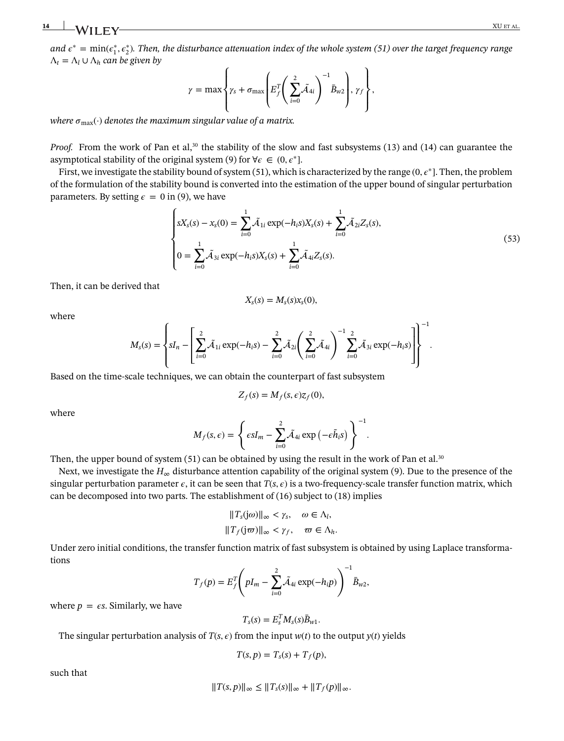*and*  $e^*$  *=*  $min(e_1^*, e_2^*)$ *. Then, the disturbance attenuation index of the whole system [\(51\)](#page-12-1) over the target frequency range*  $Λ<sub>t</sub> = Λ<sub>l</sub> ∪ Λ<sub>h</sub>$  *can be given by* 

$$
\gamma = \max \left\{ \gamma_s + \sigma_{\max} \left( E_f^T \left( \sum_{i=0}^2 \tilde{\mathcal{A}}_{4i} \right)^{-1} \bar{B}_{w2} \right), \gamma_f \right\},\right\}
$$

*where*  $\sigma_{\text{max}}(\cdot)$  *denotes the maximum singular value of a matrix.* 

*Proof.* From the work of Pan et al,<sup>30</sup> the stability of the slow and fast subsystems [\(13\)](#page-3-3) and [\(14\)](#page-4-1) can guarantee the asymptotical stability of the original system [\(9\)](#page-3-0) for  $\forall \epsilon \in (0, \epsilon^*].$ 

First, we investigate the stability bound of system [\(51\)](#page-12-1), which is characterized by the range  $(0, \epsilon^*]$ . Then, the problem of the formulation of the stability bound is converted into the estimation of the upper bound of singular perturbation parameters. By setting  $\epsilon = 0$  in [\(9\)](#page-3-0), we have

$$
\begin{cases}\nsX_{s}(s) - x_{s}(0) = \sum_{i=0}^{1} \tilde{\mathcal{A}}_{1i} \exp(-h_{i}s)X_{s}(s) + \sum_{i=0}^{1} \tilde{\mathcal{A}}_{2i}Z_{s}(s), \\
0 = \sum_{i=0}^{1} \tilde{\mathcal{A}}_{3i} \exp(-h_{i}s)X_{s}(s) + \sum_{i=0}^{1} \tilde{\mathcal{A}}_{4i}Z_{s}(s).\n\end{cases} (53)
$$

Then, it can be derived that

$$
X_{\rm s}(s)=M_{\rm s}(s)x_{\rm s}(0),
$$

where

$$
M_{s}(s) = \left\{ sI_n - \left[ \sum_{i=0}^{2} \tilde{A}_{1i} \exp(-h_i s) - \sum_{i=0}^{2} \tilde{A}_{2i} \left( \sum_{i=0}^{2} \tilde{A}_{4i} \right)^{-1} \sum_{i=0}^{2} \tilde{A}_{3i} \exp(-h_i s) \right] \right\}^{-1}.
$$

Based on the time-scale techniques, we can obtain the counterpart of fast subsystem

$$
Z_f(s) = M_f(s, \epsilon) z_f(0),
$$

where

$$
M_f(s,\epsilon) = \left\{\epsilon s I_m - \sum_{i=0}^2 \tilde{\mathcal{A}}_{4i} \exp\left(-\epsilon \tilde{h}_i s\right)\right\}^{-1}.
$$

Then, the upper bound of system  $(51)$  can be obtained by using the result in the work of Pan et al.<sup>30</sup>

Next, we investigate the  $H_{\infty}$  disturbance attention capability of the original system [\(9\)](#page-3-0). Due to the presence of the singular perturbation parameter  $\epsilon$ , it can be seen that  $T(s, \epsilon)$  is a two-frequency-scale transfer function matrix, which can be decomposed into two parts. The establishment of  $(16)$  subject to  $(18)$  implies

$$
||T_s(j\omega)||_{\infty} < \gamma_s, \quad \omega \in \Lambda_l,
$$
  

$$
||T_f(j\omega)||_{\infty} < \gamma_f, \quad \omega \in \Lambda_h.
$$

Under zero initial conditions, the transfer function matrix of fast subsystem is obtained by using Laplace transformations  $\mathbb{R}^2$ 

$$
T_f(p) = E_f^T \left( pI_m - \sum_{i=0}^2 \tilde{A}_{4i} \exp(-h_i p) \right)^{-1} \bar{B}_{w2},
$$

where  $p = \epsilon s$ . Similarly, we have

$$
T_s(s) = E_s^T M_s(s) \bar{B}_{w1}.
$$

The singular perturbation analysis of  $T(s, \epsilon)$  from the input  $w(t)$  to the output  $y(t)$  yields

$$
T(s, p) = T_s(s) + T_f(p),
$$

such that

$$
||T(s,p)||_{\infty} \leq ||T_s(s)||_{\infty} + ||T_f(p)||_{\infty}.
$$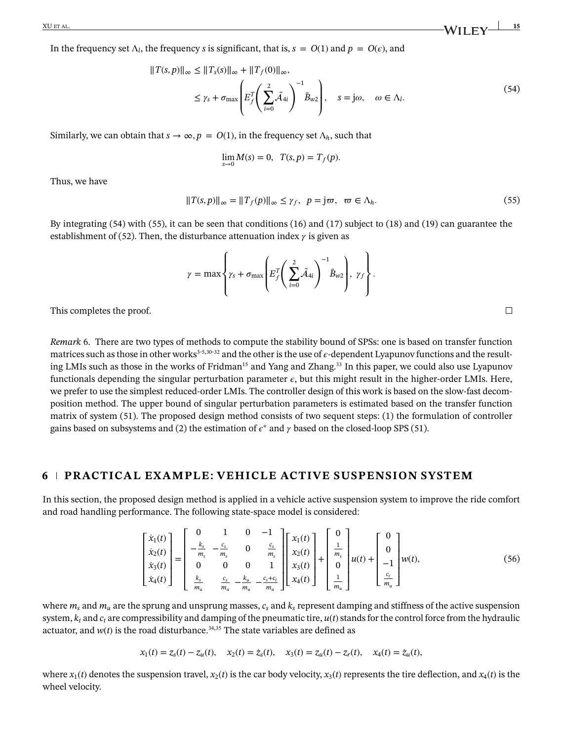In the frequency set  $\Lambda_l$ , the frequency *s* is significant, that is,  $s = O(1)$  and  $p = O(\epsilon)$ , and

$$
||T(s,p)||_{\infty} \le ||T_s(s)||_{\infty} + ||T_f(0)||_{\infty},
$$
  
\n
$$
\le \gamma_s + \sigma_{\max} \left( E_f^T \left( \sum_{i=0}^2 \tilde{A}_{4i} \right)^{-1} \bar{B}_{w2} \right), \quad s = j\omega, \quad \omega \in \Lambda_l.
$$
\n(54)

Similarly, we can obtain that  $s \to \infty$ ,  $p = O(1)$ , in the frequency set  $\Lambda_h$ , such that

<span id="page-14-0"></span>
$$
\lim_{s \to 0} M(s) = 0, \ \ T(s, p) = T_f(p).
$$

<span id="page-14-1"></span>Thus, we have

$$
||T(s,p)||_{\infty} = ||T_f(p)||_{\infty} \leq \gamma_f, \ \ p = j\varpi, \ \ \varpi \in \Lambda_h.
$$
\n<sup>(55)</sup>

By integrating [\(54\)](#page-14-0) with [\(55\)](#page-14-1), it can be seen that conditions [\(16\)](#page-4-7) and [\(17\)](#page-4-6) subject to [\(18\)](#page-4-4) and [\(19\)](#page-4-5) can guarantee the establishment of [\(52\)](#page-12-2). Then, the disturbance attenuation index  $\gamma$  is given as

$$
\gamma = \max \left\{ \gamma_s + \sigma_{\max} \left( E_f^T \left( \sum_{i=0}^2 \tilde{A}_{4i} \right)^{-1} \bar{B}_{w2} \right), \gamma_f \right\}.
$$

This completes the proof.

<span id="page-14-2"></span>*Remark* [6.](#page-14-2) There are two types of methods to compute the stability bound of SPSs: one is based on transfer function matrices such as those in other works<sup>3[-5](#page-20-1)[,30-](#page-21-7)[32](#page-21-8)</sup> and the other is the use of  $\epsilon$ -dependent Lyapunov functions and the resulting LMIs such as those in the works of Fridman<sup>15</sup> and Yang and Zhang.<sup>33</sup> In this paper, we could also use Lyapunov functionals depending the singular perturbation parameter  $\epsilon$ , but this might result in the higher-order LMIs. Here, we prefer to use the simplest reduced-order LMIs. The controller design of this work is based on the slow-fast decomposition method. The upper bound of singular perturbation parameters is estimated based on the transfer function matrix of system [\(51\)](#page-12-1). The proposed design method consists of two sequent steps: (1) the formulation of controller gains based on subsystems and (2) the estimation of  $\epsilon^*$  and  $\gamma$  based on the closed-loop SPS [\(51\)](#page-12-1).

#### **6 PRACTICAL EXAMPLE: VEHICLE ACTIVE SUSPENSION SYSTEM**

In this section, the proposed design method is applied in a vehicle active suspension system to improve the ride comfort and road handling performance. The following state-space model is considered:

<span id="page-14-3"></span>
$$
\begin{bmatrix} \dot{x}_1(t) \\ \dot{x}_2(t) \\ \dot{x}_3(t) \\ \dot{x}_4(t) \end{bmatrix} = \begin{bmatrix} 0 & 1 & 0 & -1 \\ -\frac{k_s}{m_s} & -\frac{c_s}{m_s} & 0 & \frac{c_s}{m_s} \\ 0 & 0 & 0 & 1 \\ \frac{k_s}{m_u} & \frac{c_s}{m_u} & -\frac{k_u}{m_u} & -\frac{c_s + c_t}{m_u} \end{bmatrix} \begin{bmatrix} x_1(t) \\ x_2(t) \\ x_3(t) \\ x_4(t) \end{bmatrix} + \begin{bmatrix} 0 \\ \frac{1}{m_s} \\ 0 \\ \frac{1}{m_u} \end{bmatrix} u(t) + \begin{bmatrix} 0 \\ 0 \\ -1 \\ \frac{c_t}{m_u} \end{bmatrix} w(t), \qquad (56)
$$

where  $m_s$  and  $m_u$  are the sprung and unsprung masses,  $c_s$  and  $k_s$  represent damping and stiffness of the active suspension system,  $k_t$  and  $c_t$  are compressibility and damping of the pneumatic tire,  $u(t)$  stands for the control force from the hydraulic actuator, and  $w(t)$  is the road disturbance.<sup>34,[35](#page-21-11)</sup> The state variables are defined as

$$
x_1(t) = z_s(t) - z_u(t)
$$
,  $x_2(t) = \dot{z}_s(t)$ ,  $x_3(t) = z_u(t) - z_r(t)$ ,  $x_4(t) = \dot{z}_u(t)$ ,

where  $x_1(t)$  denotes the suspension travel,  $x_2(t)$  is the car body velocity,  $x_3(t)$  represents the tire deflection, and  $x_4(t)$  is the wheel velocity.

 $\Box$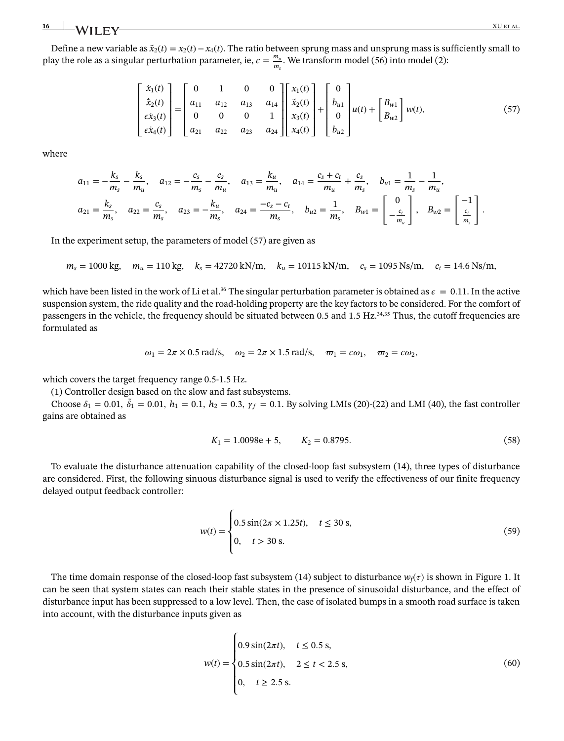### **16** XU ET AL.

Define a new variable as  $\tilde{x}_2(t) = x_2(t) - x_4(t)$ . The ratio between sprung mass and unsprung mass is sufficiently small to play the role as a singular perturbation parameter, ie,  $\epsilon = \frac{m_u}{m_s}$ . We transform model [\(56\)](#page-14-3) into model [\(2\)](#page-2-0):

<span id="page-15-0"></span>
$$
\begin{bmatrix} \dot{x}_1(t) \\ \dot{\tilde{x}}_2(t) \\ \dot{ex}_3(t) \\ \dot{ex}_4(t) \end{bmatrix} = \begin{bmatrix} 0 & 1 & 0 & 0 \\ a_{11} & a_{12} & a_{13} & a_{14} \\ 0 & 0 & 0 & 1 \\ a_{21} & a_{22} & a_{23} & a_{24} \end{bmatrix} \begin{bmatrix} x_1(t) \\ \tilde{x}_2(t) \\ x_3(t) \\ x_4(t) \end{bmatrix} + \begin{bmatrix} 0 \\ b_{u1} \\ 0 \\ b_{u2} \end{bmatrix} u(t) + \begin{bmatrix} B_{w1} \\ B_{w2} \end{bmatrix} w(t), \tag{57}
$$

where

$$
a_{11} = -\frac{k_s}{m_s} - \frac{k_s}{m_u}, \quad a_{12} = -\frac{c_s}{m_s} - \frac{c_s}{m_u}, \quad a_{13} = \frac{k_u}{m_u}, \quad a_{14} = \frac{c_s + c_t}{m_u} + \frac{c_s}{m_s}, \quad b_{u1} = \frac{1}{m_s} - \frac{1}{m_u},
$$
  

$$
a_{21} = \frac{k_s}{m_s}, \quad a_{22} = \frac{c_s}{m_s}, \quad a_{23} = -\frac{k_u}{m_s}, \quad a_{24} = \frac{-c_s - c_t}{m_s}, \quad b_{u2} = \frac{1}{m_s}, \quad B_{w1} = \begin{bmatrix} 0 \\ -\frac{c_t}{m_u} \end{bmatrix}, \quad B_{w2} = \begin{bmatrix} -1 \\ \frac{c_t}{m_s} \end{bmatrix}.
$$

In the experiment setup, the parameters of model [\(57\)](#page-15-0) are given as

$$
m_s = 1000 \text{ kg}, \quad m_u = 110 \text{ kg}, \quad k_s = 42720 \text{ kN/m}, \quad k_u = 10115 \text{ kN/m}, \quad c_s = 1095 \text{ Ns/m}, \quad c_t = 14.6 \text{ Ns/m},
$$

which have been listed in the work of Li et al.<sup>36</sup> The singular perturbation parameter is obtained as  $\epsilon = 0.11$ . In the active suspension system, the ride quality and the road-holding property are the key factors to be considered. For the comfort of passengers in the vehicle, the frequency should be situated between 0.5 and 1.5 Hz.<sup>34,[35](#page-21-11)</sup> Thus, the cutoff frequencies are formulated as

<span id="page-15-1"></span>
$$
\omega_1 = 2\pi \times 0.5 \text{ rad/s}, \quad \omega_2 = 2\pi \times 1.5 \text{ rad/s}, \quad \varpi_1 = \epsilon \omega_1, \quad \varpi_2 = \epsilon \omega_2,
$$

which covers the target frequency range 0.5-1.5 Hz.

(1) Controller design based on the slow and fast subsystems.

Choose  $\delta_1 = 0.01$ ,  $\tilde{\delta}_1 = 0.01$ ,  $h_1 = 0.1$ ,  $h_2 = 0.3$ ,  $\gamma_f = 0.1$ . By solving LMIs [\(20\)](#page-5-3)-[\(22\)](#page-5-6) and LMI [\(40\)](#page-9-4), the fast controller gains are obtained as

$$
K_1 = 1.0098e + 5, \qquad K_2 = 0.8795. \tag{58}
$$

To evaluate the disturbance attenuation capability of the closed-loop fast subsystem [\(14\)](#page-4-1), three types of disturbance are considered. First, the following sinuous disturbance signal is used to verify the effectiveness of our finite frequency delayed output feedback controller:

$$
w(t) = \begin{cases} 0.5\sin(2\pi \times 1.25t), & t \le 30 \text{ s}, \\ 0, & t > 30 \text{ s}. \end{cases}
$$
(59)

The time domain response of the closed-loop fast subsystem [\(14\)](#page-4-1) subject to disturbance  $w_i(\tau)$  is shown in Figure 1. It can be seen that system states can reach their stable states in the presence of sinusoidal disturbance, and the effect of disturbance input has been suppressed to a low level. Then, the case of isolated bumps in a smooth road surface is taken into account, with the disturbance inputs given as

$$
w(t) = \begin{cases} 0.9\sin(2\pi t), & t \le 0.5 \text{ s}, \\ 0.5\sin(2\pi t), & 2 \le t < 2.5 \text{ s}, \\ 0, & t \ge 2.5 \text{ s}. \end{cases}
$$
(60)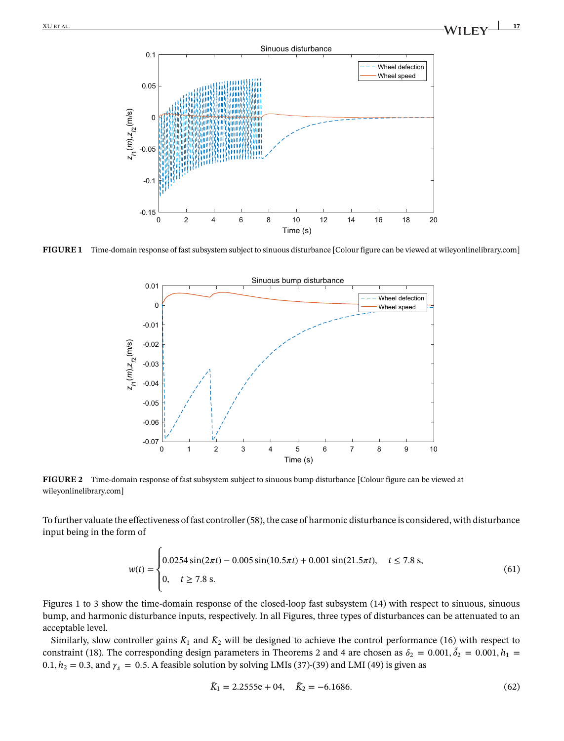

**FIGURE 1** Time-domain response of fast subsystem subject to sinuous disturbance [Colour figure can be viewed at [wileyonlinelibrary.com\]](http://wileyonlinelibrary.com)



**FIGURE 2** Time-domain response of fast subsystem subject to sinuous bump disturbance [Colour figure can be viewed at [wileyonlinelibrary.com\]](http://wileyonlinelibrary.com)

To further valuate the effectiveness of fast controller [\(58\)](#page-15-1), the case of harmonic disturbance is considered, with disturbance input being in the form of

$$
w(t) = \begin{cases} 0.0254\sin(2\pi t) - 0.005\sin(10.5\pi t) + 0.001\sin(21.5\pi t), & t \le 7.8 \text{ s}, \\ 0, & t \ge 7.8 \text{ s}. \end{cases}
$$
(61)

Figures 1 to 3 show the time-domain response of the closed-loop fast subsystem [\(14\)](#page-4-1) with respect to sinuous, sinuous bump, and harmonic disturbance inputs, respectively. In all Figures, three types of disturbances can be attenuated to an acceptable level.

Similarly, slow controller gains  $\bar{K}_1$  and  $\bar{K}_2$  will be designed to achieve the control performance [\(16\)](#page-4-7) with respect to constraint [\(18\)](#page-4-4). The corresponding design parameters in Theorems [2](#page-8-4) and [4](#page-11-3) are chosen as  $\delta_2 = 0.001$ ,  $\tilde{\delta}_2 = 0.001$ ,  $h_1 =$ 0.1,  $h_2 = 0.3$ , and  $\gamma_s = 0.5$ . A feasible solution by solving LMIs [\(37\)](#page-8-5)-[\(39\)](#page-8-4) and LMI [\(49\)](#page-11-4) is given as

$$
\bar{K}_1 = 2.2555e + 04, \quad \bar{K}_2 = -6.1686. \tag{62}
$$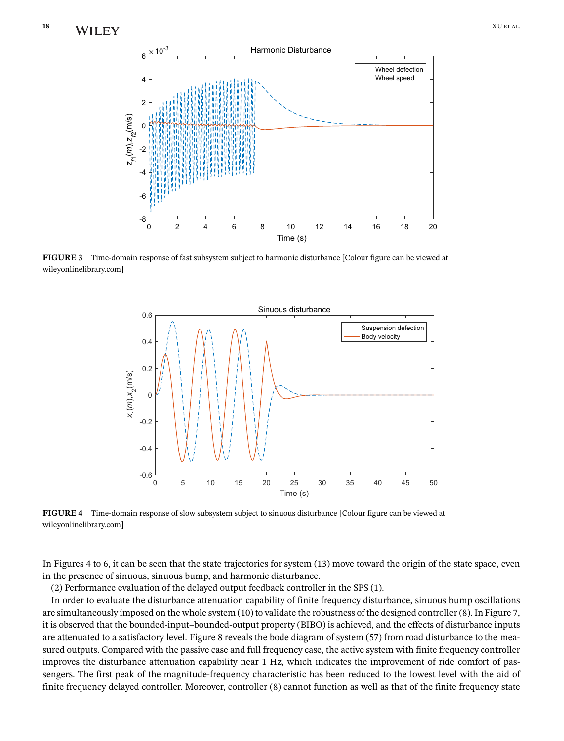



**FIGURE 3** Time-domain response of fast subsystem subject to harmonic disturbance [Colour figure can be viewed at [wileyonlinelibrary.com\]](http://wileyonlinelibrary.com)



**FIGURE 4** Time-domain response of slow subsystem subject to sinuous disturbance [Colour figure can be viewed at [wileyonlinelibrary.com\]](http://wileyonlinelibrary.com)

In Figures 4 to 6, it can be seen that the state trajectories for system [\(13\)](#page-3-3) move toward the origin of the state space, even in the presence of sinuous, sinuous bump, and harmonic disturbance.

(2) Performance evaluation of the delayed output feedback controller in the SPS [\(1\)](#page-1-0).

In order to evaluate the disturbance attenuation capability of finite frequency disturbance, sinuous bump oscillations are simultaneously imposed on the whole system [\(10\)](#page-3-2) to validate the robustness of the designed controller [\(8\)](#page-2-6). In Figure 7, it is observed that the bounded-input–bounded-output property (BIBO) is achieved, and the effects of disturbance inputs are attenuated to a satisfactory level. Figure 8 reveals the bode diagram of system [\(57\)](#page-15-0) from road disturbance to the measured outputs. Compared with the passive case and full frequency case, the active system with finite frequency controller improves the disturbance attenuation capability near 1 Hz, which indicates the improvement of ride comfort of passengers. The first peak of the magnitude-frequency characteristic has been reduced to the lowest level with the aid of finite frequency delayed controller. Moreover, controller [\(8\)](#page-2-6) cannot function as well as that of the finite frequency state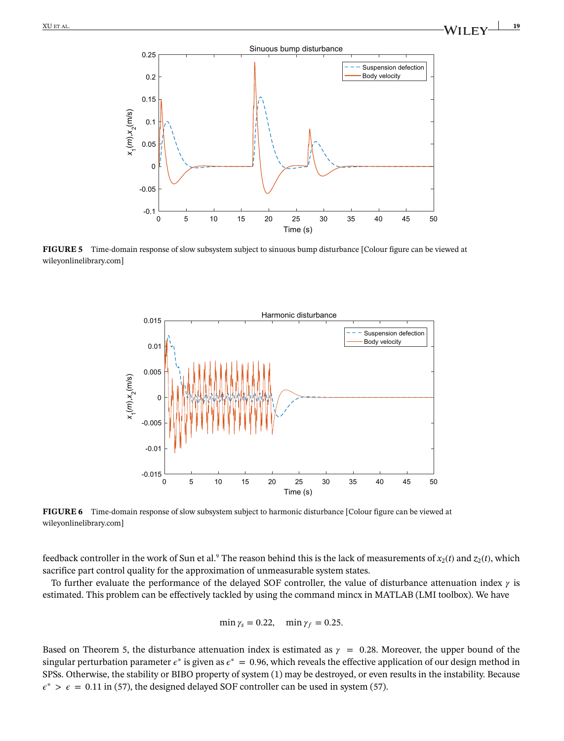

**FIGURE 5** Time-domain response of slow subsystem subject to sinuous bump disturbance [Colour figure can be viewed at [wileyonlinelibrary.com\]](http://wileyonlinelibrary.com)



**FIGURE 6** Time-domain response of slow subsystem subject to harmonic disturbance [Colour figure can be viewed at [wileyonlinelibrary.com\]](http://wileyonlinelibrary.com)

feedback controller in the work of Sun et al.<sup>9</sup> The reason behind this is the lack of measurements of  $x_2(t)$  and  $z_2(t)$ , which sacrifice part control quality for the approximation of unmeasurable system states.

To further evaluate the performance of the delayed SOF controller, the value of disturbance attenuation index  $\gamma$  is estimated. This problem can be effectively tackled by using the command mincx in MATLAB (LMI toolbox). We have

$$
\min \gamma_s = 0.22, \quad \min \gamma_f = 0.25.
$$

Based on Theorem [5,](#page-12-2) the disturbance attenuation index is estimated as  $\gamma = 0.28$ . Moreover, the upper bound of the singular perturbation parameter  $\epsilon^*$  is given as  $\epsilon^* = 0.96$ , which reveals the effective application of our design method in SPSs. Otherwise, the stability or BIBO property of system [\(1\)](#page-1-0) may be destroyed, or even results in the instability. Because  $\epsilon^*$  >  $\epsilon$  = 0.11 in [\(57\)](#page-15-0), the designed delayed SOF controller can be used in system (57).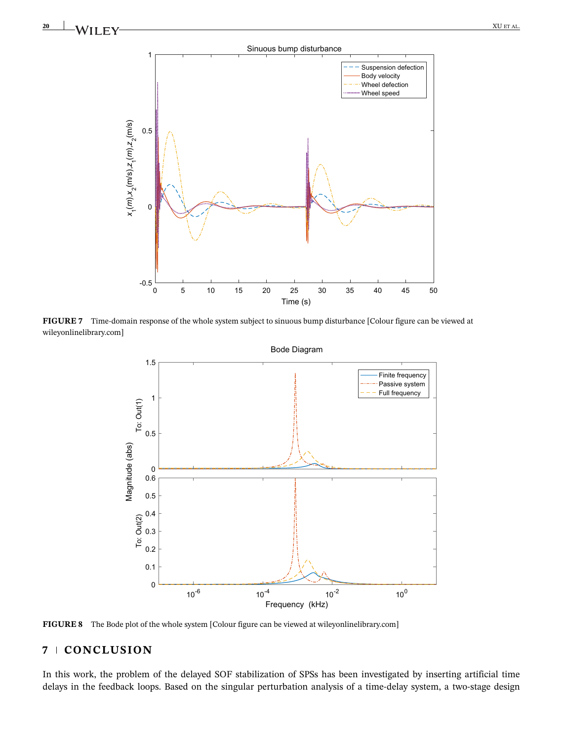



**FIGURE 7** Time-domain response of the whole system subject to sinuous bump disturbance [Colour figure can be viewed at [wileyonlinelibrary.com\]](http://wileyonlinelibrary.com)



**FIGURE 8** The Bode plot of the whole system [Colour figure can be viewed at [wileyonlinelibrary.com\]](http://wileyonlinelibrary.com)

## **7 CONCLUSION**

In this work, the problem of the delayed SOF stabilization of SPSs has been investigated by inserting artificial time delays in the feedback loops. Based on the singular perturbation analysis of a time-delay system, a two-stage design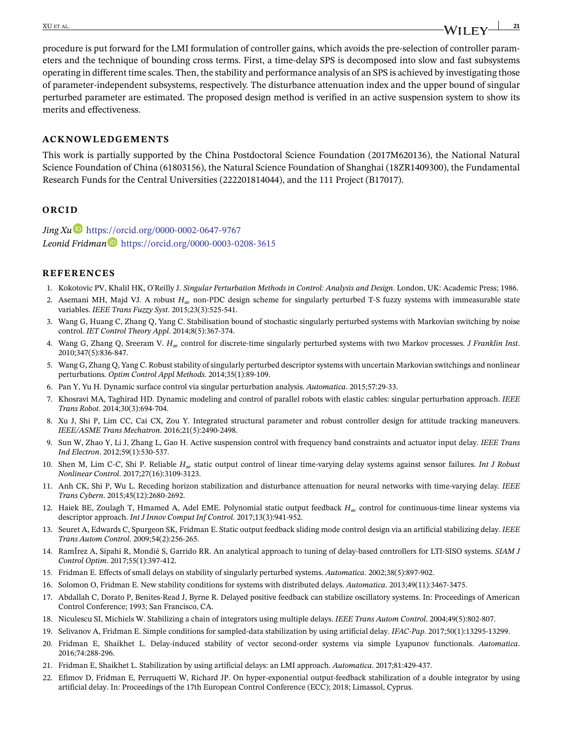## procedure is put forward for the LMI formulation of controller gains, which avoids the pre-selection of controller parameters and the technique of bounding cross terms. First, a time-delay SPS is decomposed into slow and fast subsystems operating in different time scales. Then, the stability and performance analysis of an SPS is achieved by investigating those of parameter-independent subsystems, respectively. The disturbance attenuation index and the upper bound of singular perturbed parameter are estimated. The proposed design method is verified in an active suspension system to show its merits and effectiveness.

#### **ACKNOWLEDGEMENTS**

This work is partially supported by the China Postdoctoral Science Foundation (2017M620136), the National Natural Science Foundation of China (61803156), the Natural Science Foundation of Shanghai (18ZR1409300), the Fundamental Research Funds for the Central Universities (222201814044), and the 111 Project (B17017).

#### **ORCID**

*Jing X[u](https://orcid.org/0000-0002-0647-9767)* <https://orcid.org/0000-0002-0647-9767> *Leonid Fridman* <https://orcid.org/0000-0003-0208-3615>

#### **REFERENCES**

- <span id="page-20-0"></span>1. Kokotovic PV, Khalil HK, O'Reilly J. *Singular Perturbation Methods in Control: Analysis and Design*. London, UK: Academic Press; 1986.
- 2. Asemani MH, Majd VJ. A robust *H*<sup>∞</sup> non-PDC design scheme for singularly perturbed T-S fuzzy systems with immeasurable state variables. *IEEE Trans Fuzzy Syst*. 2015;23(3):525-541.
- <span id="page-20-4"></span>3. Wang G, Huang C, Zhang Q, Yang C. Stabilisation bound of stochastic singularly perturbed systems with Markovian switching by noise control. *IET Control Theory Appl*. 2014;8(5):367-374.
- 4. Wang G, Zhang Q, Sreeram V. *H*<sup>∞</sup> control for discrete-time singularly perturbed systems with two Markov processes. *J Franklin Inst*. 2010;347(5):836-847.
- <span id="page-20-1"></span>5. Wang G, Zhang Q, Yang C. Robust stability of singularly perturbed descriptor systems with uncertain Markovian switchings and nonlinear perturbations. *Optim Control Appl Methods*. 2014;35(1):89-109.
- <span id="page-20-3"></span><span id="page-20-2"></span>6. Pan Y, Yu H. Dynamic surface control via singular perturbation analysis. *Automatica*. 2015;57:29-33.
- 7. Khosravi MA, Taghirad HD. Dynamic modeling and control of parallel robots with elastic cables: singular perturbation approach. *IEEE Trans Robot*. 2014;30(3):694-704.
- <span id="page-20-5"></span>8. Xu J, Shi P, Lim CC, Cai CX, Zou Y. Integrated structural parameter and robust controller design for attitude tracking maneuvers. *IEEE/ASME Trans Mechatron*. 2016;21(5):2490-2498.
- <span id="page-20-17"></span>9. Sun W, Zhao Y, Li J, Zhang L, Gao H. Active suspension control with frequency band constraints and actuator input delay. *IEEE Trans Ind Electron*. 2012;59(1):530-537.
- 10. Shen M, Lim C-C, Shi P. Reliable *H*<sup>∞</sup> static output control of linear time-varying delay systems against sensor failures. *Int J Robust Nonlinear Control*. 2017;27(16):3109-3123.
- 11. Anh CK, Shi P, Wu L. Receding horizon stabilization and disturbance attenuation for neural networks with time-varying delay. *IEEE Trans Cybern*. 2015;45(12):2680-2692.
- <span id="page-20-6"></span>12. Haiek BE, Zoulagh T, Hmamed A, Adel EME. Polynomial static output feedback *H*<sup>∞</sup> control for continuous-time linear systems via descriptor approach. *Int J Innov Comput Inf Control*. 2017;13(3):941-952.
- <span id="page-20-7"></span>13. Seuret A, Edwards C, Spurgeon SK, Fridman E. Static output feedback sliding mode control design via an artificial stabilizing delay. *IEEE Trans Autom Control*. 2009;54(2):256-265.
- <span id="page-20-8"></span>14. RamÍrez A, Sipahi R, Mondié S, Garrido RR. An analytical approach to tuning of delay-based controllers for LTI-SISO systems. *SIAM J Control Optim*. 2017;55(1):397-412.
- <span id="page-20-10"></span><span id="page-20-9"></span>15. Fridman E. Effects of small delays on stability of singularly perturbed systems. *Automatica*. 2002;38(5):897-902.
- <span id="page-20-11"></span>16. Solomon O, Fridman E. New stability conditions for systems with distributed delays. *Automatica*. 2013;49(11):3467-3475.
- 17. Abdallah C, Dorato P, Benites-Read J, Byrne R. Delayed positive feedback can stabilize oscillatory systems. In: Proceedings of American Control Conference; 1993; San Francisco, CA.
- <span id="page-20-13"></span><span id="page-20-12"></span>18. Niculescu SI, Michiels W. Stabilizing a chain of integrators using multiple delays. *IEEE Trans Autom Control*. 2004;49(5):802-807.
- <span id="page-20-15"></span>19. Selivanov A, Fridman E. Simple conditions for sampled-data stabilization by using artificial delay. *IFAC-Pap*. 2017;50(1):13295-13299.
- 20. Fridman E, Shaikhet L. Delay-induced stability of vector second-order systems via simple Lyapunov functionals. *Automatica*. 2016;74:288-296.
- <span id="page-20-16"></span>21. Fridman E, Shaikhet L. Stabilization by using artificial delays: an LMI approach. *Automatica*. 2017;81:429-437.
- <span id="page-20-14"></span>22. Efimov D, Fridman E, Perruquetti W, Richard JP. On hyper-exponential output-feedback stabilization of a double integrator by using artificial delay. In: Proceedings of the 17th European Control Conference (ECC); 2018; Limassol, Cyprus.